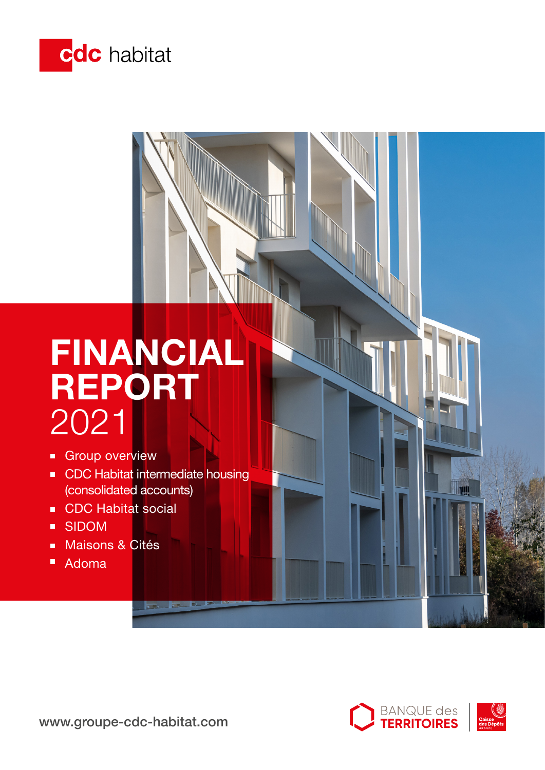

# FINANCIAL REPORT 2021

- **Group overview**
- **CDC Habitat intermediate housing** (consolidated accounts)
- CDC Habitat social
- SIDOM  $\blacksquare$
- **Maisons & Cités**
- Adoma

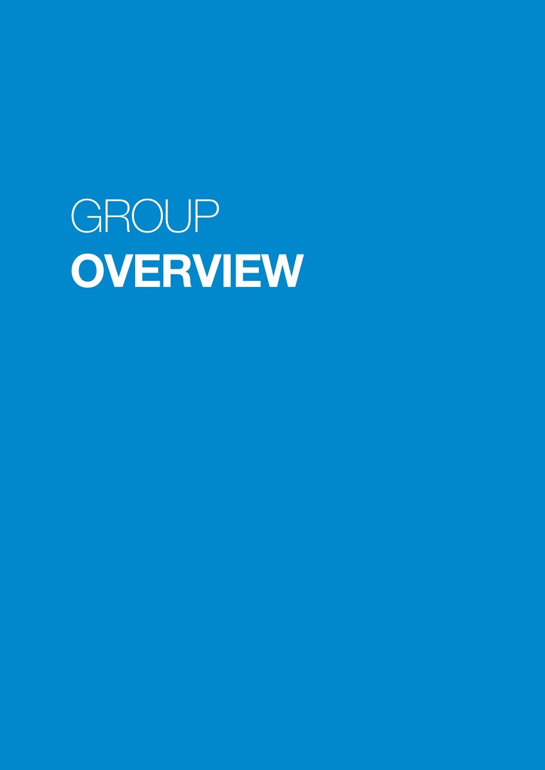GROUP **OVERVIEW**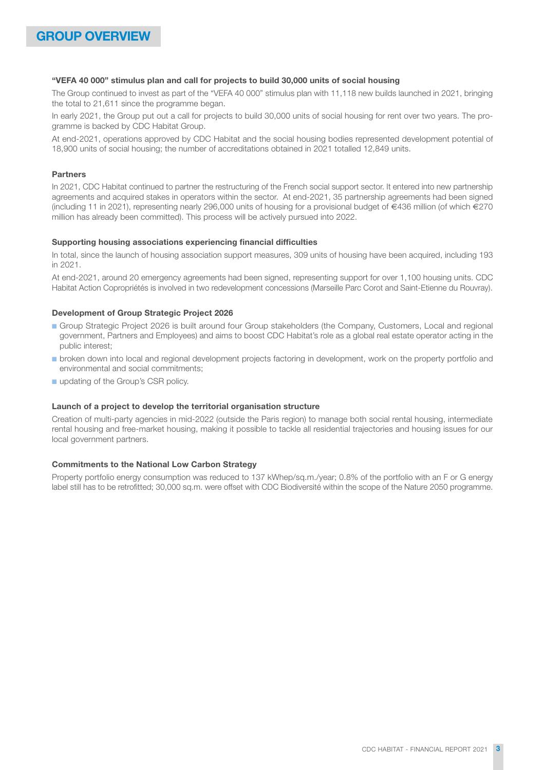#### "VEFA 40 000" stimulus plan and call for projects to build 30,000 units of social housing

The Group continued to invest as part of the "VEFA 40 000" stimulus plan with 11,118 new builds launched in 2021, bringing the total to 21,611 since the programme began.

In early 2021, the Group put out a call for projects to build 30,000 units of social housing for rent over two years. The programme is backed by CDC Habitat Group.

At end-2021, operations approved by CDC Habitat and the social housing bodies represented development potential of 18,900 units of social housing; the number of accreditations obtained in 2021 totalled 12,849 units.

### Partners

In 2021, CDC Habitat continued to partner the restructuring of the French social support sector. It entered into new partnership agreements and acquired stakes in operators within the sector. At end-2021, 35 partnership agreements had been signed (including 11 in 2021), representing nearly 296,000 units of housing for a provisional budget of €436 million (of which €270 million has already been committed). This process will be actively pursued into 2022.

#### Supporting housing associations experiencing financial difficulties

In total, since the launch of housing association support measures, 309 units of housing have been acquired, including 193 in 2021.

At end-2021, around 20 emergency agreements had been signed, representing support for over 1,100 housing units. CDC Habitat Action Copropriétés is involved in two redevelopment concessions (Marseille Parc Corot and Saint-Etienne du Rouvray).

#### Development of Group Strategic Project 2026

- ■ Group Strategic Project 2026 is built around four Group stakeholders (the Company, Customers, Local and regional government, Partners and Employees) and aims to boost CDC Habitat's role as a global real estate operator acting in the public interest;
- ■ broken down into local and regional development projects factoring in development, work on the property portfolio and environmental and social commitments;
- updating of the Group's CSR policy.

#### Launch of a project to develop the territorial organisation structure

Creation of multi-party agencies in mid-2022 (outside the Paris region) to manage both social rental housing, intermediate rental housing and free-market housing, making it possible to tackle all residential trajectories and housing issues for our local government partners.

#### Commitments to the National Low Carbon Strategy

Property portfolio energy consumption was reduced to 137 kWhep/sq.m./year; 0.8% of the portfolio with an F or G energy label still has to be retrofitted; 30,000 sq.m. were offset with CDC Biodiversité within the scope of the Nature 2050 programme.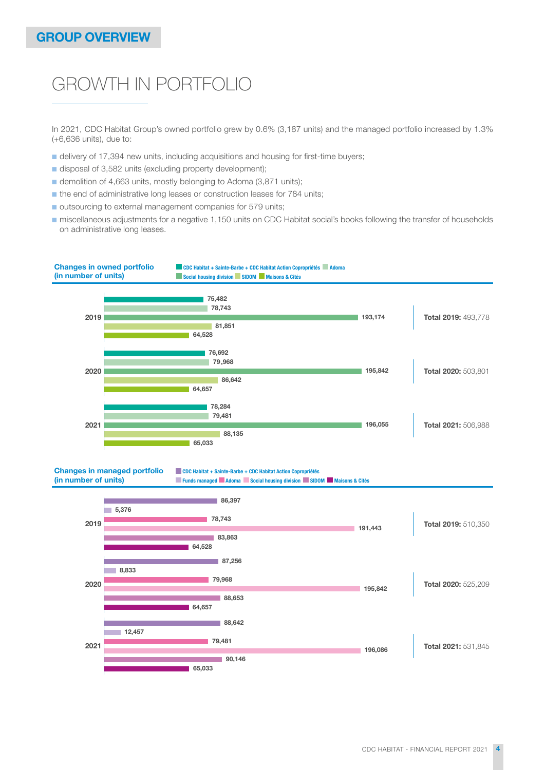## GROWTH IN PORTFOLIO

In 2021, CDC Habitat Group's owned portfolio grew by 0.6% (3,187 units) and the managed portfolio increased by 1.3% (+6,636 units), due to:

- delivery of 17,394 new units, including acquisitions and housing for first-time buyers;
- disposal of 3,582 units (excluding property development);
- demolition of 4,663 units, mostly belonging to Adoma (3,871 units);
- the end of administrative long leases or construction leases for 784 units;
- outsourcing to external management companies for 579 units;
- miscellaneous adjustments for a negative 1,150 units on CDC Habitat social's books following the transfer of households on administrative long leases.



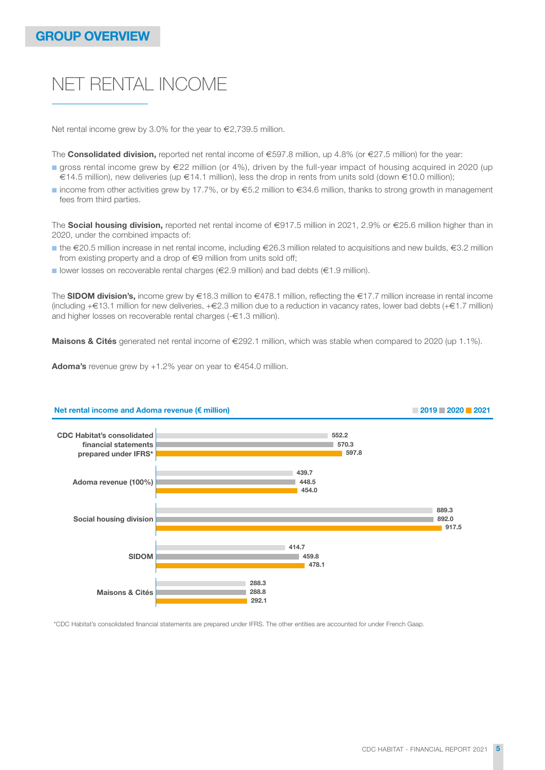## NET RENTAL INCOME

Net rental income grew by 3.0% for the year to €2,739.5 million.

The **Consolidated division,** reported net rental income of €597.8 million, up 4.8% (or €27.5 million) for the year:

- gross rental income grew by €22 million (or 4%), driven by the full-year impact of housing acquired in 2020 (up €14.5 million), new deliveries (up €14.1 million), less the drop in rents from units sold (down €10.0 million);
- income from other activities grew by 17.7%, or by  $€5.2$  million to  $€34.6$  million, thanks to strong growth in management fees from third parties.

The Social housing division, reported net rental income of €917.5 million in 2021, 2.9% or €25.6 million higher than in 2020, under the combined impacts of:

- ■ the €20.5 million increase in net rental income, including €26.3 million related to acquisitions and new builds, €3.2 million from existing property and a drop of €9 million from units sold off;
- lower losses on recoverable rental charges (€2.9 million) and bad debts (€1.9 million).

The SIDOM division's, income grew by  $\in 18.3$  million to  $\in 478.1$  million, reflecting the  $\in 17.7$  million increase in rental income (including +€13.1 million for new deliveries, +€2.3 million due to a reduction in vacancy rates, lower bad debts (+€1.7 million) and higher losses on recoverable rental charges (-€1.3 million).

Maisons & Cités generated net rental income of €292.1 million, which was stable when compared to 2020 (up 1.1%).

Adoma's revenue grew by  $+1.2\%$  year on year to  $\in$ 454.0 million.



Net rental income and Adoma revenue (€ million) 2019 2019 2021 2021 2021 2021

\*CDC Habitat's consolidated financial statements are prepared under IFRS. The other entities are accounted for under French Gaap.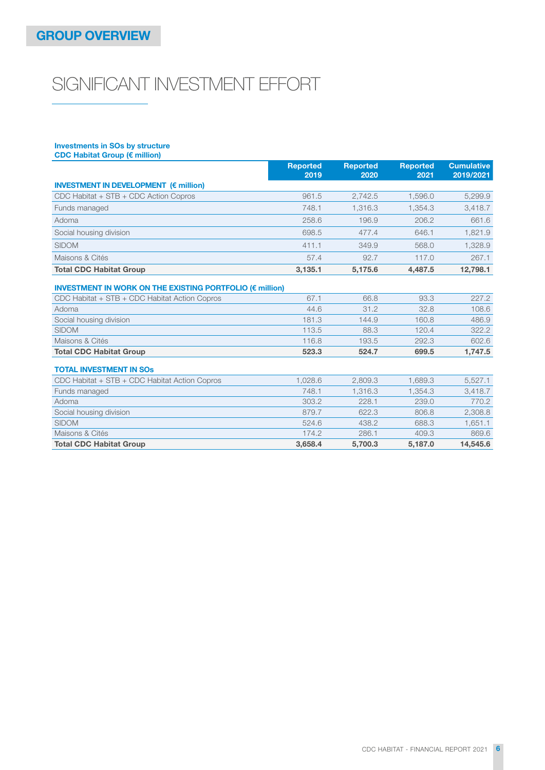# SIGNIFICANT INVESTMENT EFFORT

## Investments in SOs by structure

| CDC Habitat Group (€ million)                                    |                         |                         |                         |                                |
|------------------------------------------------------------------|-------------------------|-------------------------|-------------------------|--------------------------------|
|                                                                  | <b>Reported</b><br>2019 | <b>Reported</b><br>2020 | <b>Reported</b><br>2021 | <b>Cumulative</b><br>2019/2021 |
| <b>INVESTMENT IN DEVELOPMENT (<math>\epsilon</math> million)</b> |                         |                         |                         |                                |
| CDC Habitat + STB + CDC Action Copros                            | 961.5                   | 2.742.5                 | 1.596.0                 | 5,299.9                        |
| Funds managed                                                    | 748.1                   | 1,316.3                 | 1.354.3                 | 3,418.7                        |
| Adoma                                                            | 258.6                   | 196.9                   | 206.2                   | 661.6                          |
| Social housing division                                          | 698.5                   | 477.4                   | 646.1                   | 1,821.9                        |
| <b>SIDOM</b>                                                     | 411.1                   | 349.9                   | 568.0                   | 1,328.9                        |
| Maisons & Cités                                                  | 57.4                    | 92.7                    | 117.0                   | 267.1                          |
| <b>Total CDC Habitat Group</b>                                   | 3,135.1                 | 5,175.6                 | 4,487.5                 | 12,798.1                       |
| <b>INVESTMENT IN WORK ON THE EXISTING PORTFOLIO (€ million)</b>  |                         |                         |                         |                                |
| CDC Habitat + STB + CDC Habitat Action Copros                    | 67.1                    | 66.8                    | 93.3                    | 227.2                          |
| Adoma                                                            | 44.6                    | 31.2                    | 32.8                    | 108.6                          |
| Social housing division                                          | 181.3                   | 144.9                   | 160.8                   | 486.9                          |
| <b>SIDOM</b>                                                     | 113.5                   | 88.3                    | 120.4                   | 322.2                          |
| Maisons & Cités                                                  | 116.8                   | 193.5                   | 292.3                   | 602.6                          |
| <b>Total CDC Habitat Group</b>                                   | 523.3                   | 524.7                   | 699.5                   | 1,747.5                        |
| <b>TOTAL INVESTMENT IN SOS</b>                                   |                         |                         |                         |                                |
| CDC Habitat + STB + CDC Habitat Action Copros                    | 1.028.6                 | 2.809.3                 | 1.689.3                 | 5,527.1                        |
| Funds managed                                                    | 748.1                   | 1,316.3                 | 1.354.3                 | 3,418.7                        |
| Adoma                                                            | 303.2                   | 228.1                   | 239.0                   | 770.2                          |
| Social housing division                                          | 879.7                   | 622.3                   | 806.8                   | 2,308.8                        |
| <b>SIDOM</b>                                                     | 524.6                   | 438.2                   | 688.3                   | 1,651.1                        |
| Maisons & Cités                                                  | 174.2                   | 286.1                   | 409.3                   | 869.6                          |
| <b>Total CDC Habitat Group</b>                                   | 3,658.4                 | 5,700.3                 | 5.187.0                 | 14,545.6                       |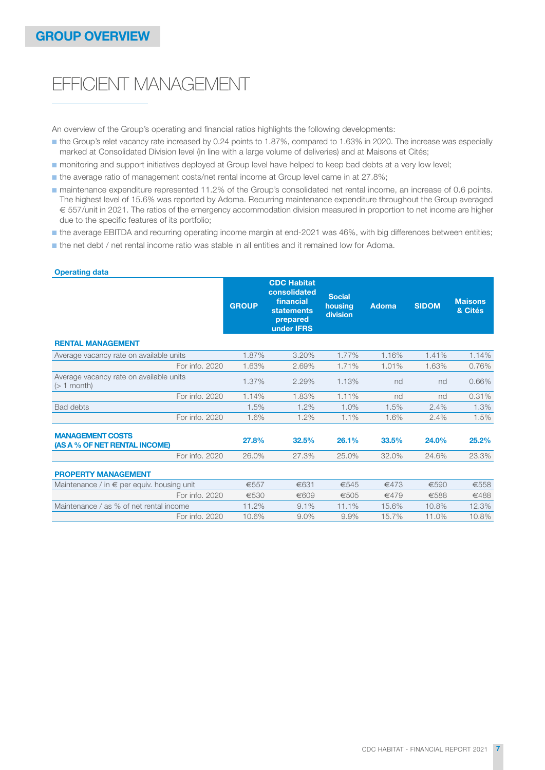## EFFICIENT MANAGEMENT

An overview of the Group's operating and financial ratios highlights the following developments:

- the Group's relet vacancy rate increased by 0.24 points to 1.87%, compared to 1.63% in 2020. The increase was especially marked at Consolidated Division level (in line with a large volume of deliveries) and at Maisons et Cités;
- monitoring and support initiatives deployed at Group level have helped to keep bad debts at a very low level;
- the average ratio of management costs/net rental income at Group level came in at 27.8%;
- maintenance expenditure represented 11.2% of the Group's consolidated net rental income, an increase of 0.6 points. The highest level of 15.6% was reported by Adoma. Recurring maintenance expenditure throughout the Group averaged € 557/unit in 2021. The ratios of the emergency accommodation division measured in proportion to net income are higher due to the specific features of its portfolio;
- the average EBITDA and recurring operating income margin at end-2021 was 46%, with big differences between entities;
- the net debt / net rental income ratio was stable in all entities and it remained low for Adoma.

| <b>GROUP</b> | <b>CDC Habitat</b><br>consolidated<br>financial<br><b>statements</b><br>prepared<br>under <b>IFRS</b> | <b>Social</b><br>housing<br>division | <b>Adoma</b> | <b>SIDOM</b> | <b>Maisons</b><br>& Cités |
|--------------|-------------------------------------------------------------------------------------------------------|--------------------------------------|--------------|--------------|---------------------------|
|              |                                                                                                       |                                      |              |              |                           |
| 1.87%        | 3.20%                                                                                                 | 1.77%                                | 1.16%        | 1.41%        | 1.14%                     |
| 1.63%        | 2.69%                                                                                                 | 1.71%                                | 1.01%        | 1.63%        | 0.76%                     |
| 1.37%        | 2.29%                                                                                                 | 1.13%                                | nd           | nd           | 0.66%                     |
| 1.14%        | 1.83%                                                                                                 | 1.11%                                | nd           | nd           | 0.31%                     |
| 1.5%         | 1.2%                                                                                                  | 1.0%                                 | 1.5%         | 2.4%         | 1.3%                      |
| 1.6%         | 1.2%                                                                                                  | 1.1%                                 | 1.6%         | 2.4%         | 1.5%                      |
| 27.8%        | 32.5%                                                                                                 | 26.1%                                | 33.5%        | 24.0%        | 25.2%                     |
| 26.0%        | 27.3%                                                                                                 | 25.0%                                | 32.0%        | 24.6%        | 23.3%                     |
|              |                                                                                                       |                                      |              |              |                           |
| €557         | €631                                                                                                  | €545                                 | €473         | €590         | €558                      |
| €530         | €609                                                                                                  | €505                                 | €479         | €588         | €488                      |
| 11.2%        | 9.1%                                                                                                  | 11.1%                                | 15.6%        | 10.8%        | 12.3%                     |
| 10.6%        | $9.0\%$                                                                                               | 9.9%                                 | 15.7%        | 11.0%        | 10.8%                     |
|              |                                                                                                       |                                      |              |              |                           |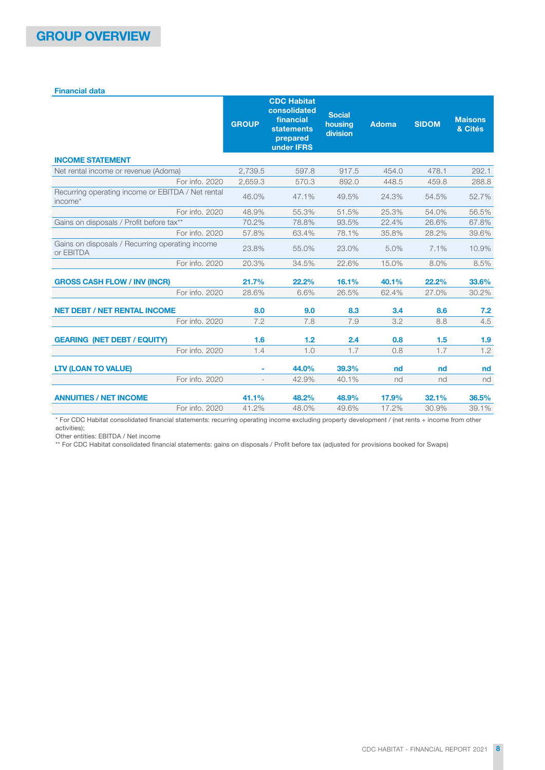## Financial data

|                                                              | <b>GROUP</b> | <b>CDC Habitat</b><br>consolidated<br>financial<br><b>statements</b><br>prepared<br>under <b>IFRS</b> | <b>Social</b><br>housing<br>division | <b>Adoma</b> | <b>SIDOM</b> | <b>Maisons</b><br>& Cités |
|--------------------------------------------------------------|--------------|-------------------------------------------------------------------------------------------------------|--------------------------------------|--------------|--------------|---------------------------|
| <b>INCOME STATEMENT</b>                                      |              |                                                                                                       |                                      |              |              |                           |
| Net rental income or revenue (Adoma)                         | 2.739.5      | 597.8                                                                                                 | 917.5                                | 454.0        | 478.1        | 292.1                     |
| For info. 2020                                               | 2,659.3      | 570.3                                                                                                 | 892.0                                | 448.5        | 459.8        | 288.8                     |
| Recurring operating income or EBITDA / Net rental<br>income* | 46.0%        | 47.1%                                                                                                 | 49.5%                                | 24.3%        | 54.5%        | 52.7%                     |
| For info, 2020                                               | 48.9%        | 55.3%                                                                                                 | 51.5%                                | 25.3%        | 54.0%        | 56.5%                     |
| Gains on disposals / Profit before tax**                     | 70.2%        | 78.8%                                                                                                 | 93.5%                                | 22.4%        | 26.6%        | 67.8%                     |
| For info, 2020                                               | 57.8%        | 63.4%                                                                                                 | 78.1%                                | 35.8%        | 28.2%        | 39.6%                     |
| Gains on disposals / Recurring operating income<br>or EBITDA | 23.8%        | 55.0%                                                                                                 | 23.0%                                | 5.0%         | 7.1%         | 10.9%                     |
| For info. 2020                                               | 20.3%        | 34.5%                                                                                                 | 22.6%                                | 15.0%        | 8.0%         | 8.5%                      |
| <b>GROSS CASH FLOW / INV (INCR)</b>                          | 21.7%        | 22.2%                                                                                                 | 16.1%                                | 40.1%        | 22.2%        | 33.6%                     |
| For info, 2020                                               | 28.6%        | 6.6%                                                                                                  | 26.5%                                | 62.4%        | 27.0%        | 30.2%                     |
| <b>NET DEBT / NET RENTAL INCOME</b>                          | 8.0          | 9.0                                                                                                   | 8.3                                  | 3.4          | 8.6          | 7.2                       |
| For info. 2020                                               | 7.2          | 7.8                                                                                                   | 7.9                                  | 3.2          | 8.8          | 4.5                       |
| <b>GEARING (NET DEBT / EQUITY)</b>                           | 1.6          | 1.2                                                                                                   | 2.4                                  | 0.8          | 1.5          | 1.9                       |
| For info, 2020                                               | 1.4          | 1.0                                                                                                   | 1.7                                  | 0.8          | 1.7          | 1.2                       |
| <b>LTV (LOAN TO VALUE)</b>                                   |              | 44.0%                                                                                                 | 39.3%                                | nd           | nd           | nd                        |
| For info, 2020                                               |              | 42.9%                                                                                                 | 40.1%                                | nd           | nd           | nd                        |
| <b>ANNUITIES / NET INCOME</b>                                | 41.1%        | 48.2%                                                                                                 | 48.9%                                | 17.9%        | 32.1%        | 36.5%                     |
| For info, 2020                                               | 41.2%        | 48.0%                                                                                                 | 49.6%                                | 17.2%        | 30.9%        | 39.1%                     |

\* For CDC Habitat consolidated financial statements: recurring operating income excluding property development / (net rents + income from other activities);

Other entities: EBITDA / Net income

\*\* For CDC Habitat consolidated financial statements: gains on disposals / Profit before tax (adjusted for provisions booked for Swaps)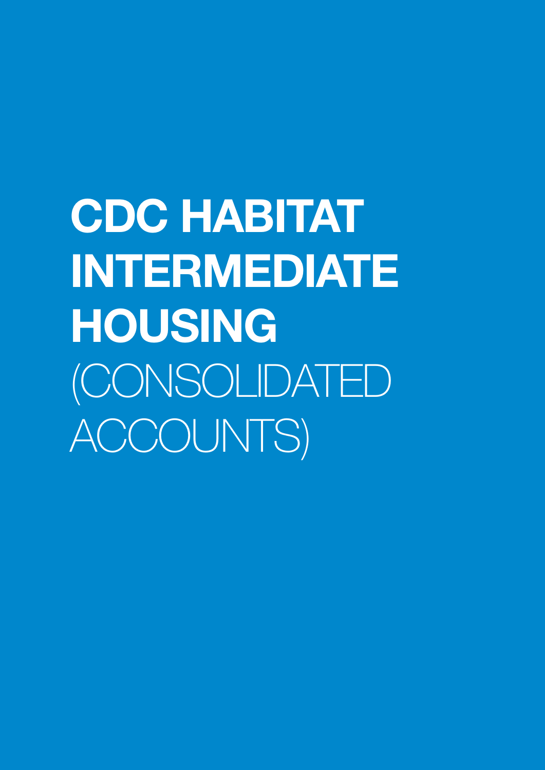CDC HABITAT INTERMEDIATE HOUSING (CONSOLIDATED ACCOUNTS)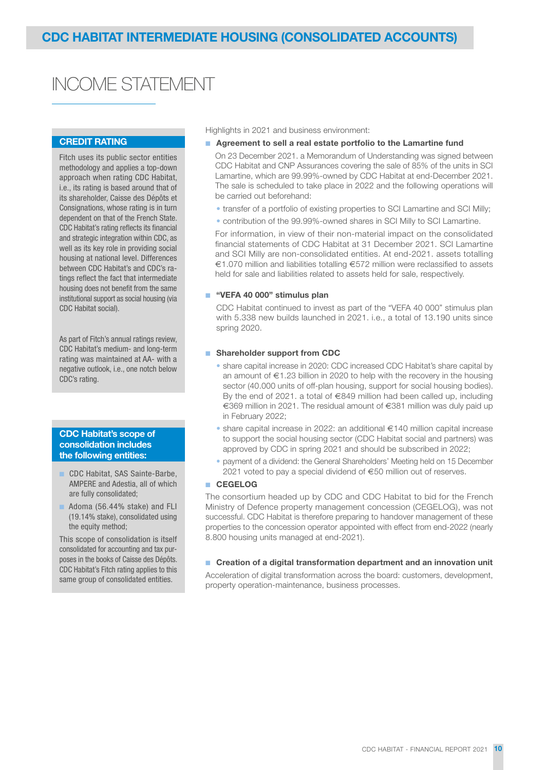## INCOME STATEMENT

## CREDIT RATING

Fitch uses its public sector entities methodology and applies a top-down approach when rating CDC Habitat, i.e., its rating is based around that of its shareholder, Caisse des Dépôts et Consignations, whose rating is in turn dependent on that of the French State. CDC Habitat's rating reflects its financial and strategic integration within CDC, as well as its key role in providing social housing at national level. Differences between CDC Habitat's and CDC's ratings reflect the fact that intermediate housing does not benefit from the same institutional support as social housing (via CDC Habitat social).

As part of Fitch's annual ratings review, CDC Habitat's medium- and long-term rating was maintained at AA- with a negative outlook, i.e., one notch below CDC's rating.

### CDC Habitat's scope of consolidation includes the following entities:

- CDC Habitat, SAS Sainte-Barbe, AMPERE and Adestia, all of which are fully consolidated;
- Adoma (56.44% stake) and FLI (19.14% stake), consolidated using the equity method:

This scope of consolidation is itself consolidated for accounting and tax purposes in the books of Caisse des Dépôts. CDC Habitat's Fitch rating applies to this same group of consolidated entities.

Highlights in 2021 and business environment:

- Agreement to sell a real estate portfolio to the Lamartine fund
	- On 23 December 2021. a Memorandum of Understanding was signed between CDC Habitat and CNP Assurances covering the sale of 85% of the units in SCI Lamartine, which are 99.99%-owned by CDC Habitat at end-December 2021. The sale is scheduled to take place in 2022 and the following operations will be carried out beforehand:
	- transfer of a portfolio of existing properties to SCI Lamartine and SCI Milly;
	- contribution of the 99.99%-owned shares in SCI Milly to SCI Lamartine.

 For information, in view of their non-material impact on the consolidated financial statements of CDC Habitat at 31 December 2021. SCI Lamartine and SCI Milly are non-consolidated entities. At end-2021. assets totalling €1.070 million and liabilities totalling €572 million were reclassified to assets held for sale and liabilities related to assets held for sale, respectively.

## ■ "VEFA 40 000" stimulus plan

 CDC Habitat continued to invest as part of the "VEFA 40 000" stimulus plan with 5.338 new builds launched in 2021. i.e., a total of 13.190 units since spring 2020.

## ■ Shareholder support from CDC

- share capital increase in 2020: CDC increased CDC Habitat's share capital by an amount of €1.23 billion in 2020 to help with the recovery in the housing sector (40.000 units of off-plan housing, support for social housing bodies). By the end of 2021. a total of €849 million had been called up, including €369 million in 2021. The residual amount of €381 million was duly paid up in February 2022;
- share capital increase in 2022: an additional €140 million capital increase to support the social housing sector (CDC Habitat social and partners) was approved by CDC in spring 2021 and should be subscribed in 2022;
- payment of a dividend: the General Shareholders' Meeting held on 15 December 2021 voted to pay a special dividend of  $\epsilon$ 50 million out of reserves.

## ■ CEGELOG

The consortium headed up by CDC and CDC Habitat to bid for the French Ministry of Defence property management concession (CEGELOG), was not successful. CDC Habitat is therefore preparing to handover management of these properties to the concession operator appointed with effect from end-2022 (nearly 8.800 housing units managed at end-2021).

## ■ Creation of a digital transformation department and an innovation unit

Acceleration of digital transformation across the board: customers, development, property operation-maintenance, business processes.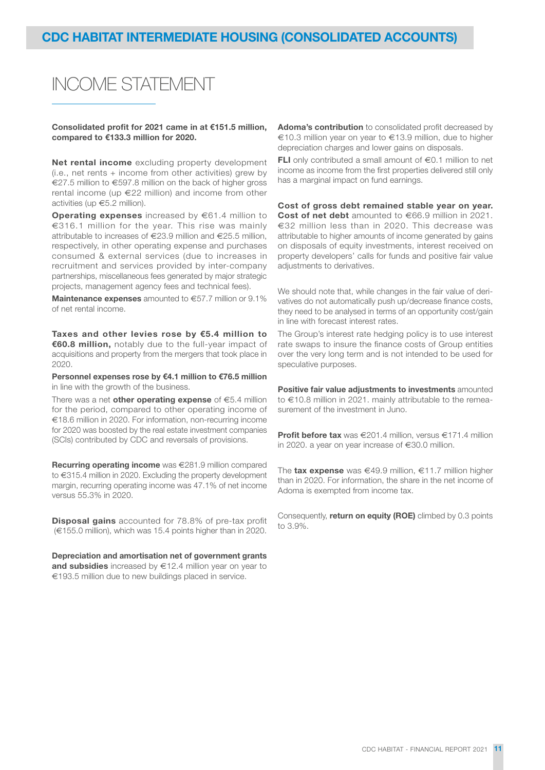# INCOME STATEMENT

Consolidated profit for 2021 came in at €151.5 million, compared to €133.3 million for 2020.

Net rental income excluding property development (i.e., net rents  $+$  income from other activities) grew by €27.5 million to €597.8 million on the back of higher gross rental income (up €22 million) and income from other activities (up €5.2 million).

**Operating expenses** increased by  $\epsilon$ 61.4 million to €316.1 million for the year. This rise was mainly attributable to increases of €23.9 million and €25.5 million, respectively, in other operating expense and purchases consumed & external services (due to increases in recruitment and services provided by inter-company partnerships, miscellaneous fees generated by major strategic projects, management agency fees and technical fees).

**Maintenance expenses** amounted to  $\epsilon$ 57.7 million or 9.1% of net rental income.

Taxes and other levies rose by €5.4 million to €60.8 million, notably due to the full-year impact of acquisitions and property from the mergers that took place in 2020.

Personnel expenses rose by €4.1 million to €76.5 million in line with the growth of the business.

There was a net other operating expense of  $\epsilon$ 5.4 million for the period, compared to other operating income of €18.6 million in 2020. For information, non-recurring income for 2020 was boosted by the real estate investment companies (SCIs) contributed by CDC and reversals of provisions.

Recurring operating income was €281.9 million compared to €315.4 million in 2020. Excluding the property development margin, recurring operating income was 47.1% of net income versus 55.3% in 2020.

**Disposal gains** accounted for 78.8% of pre-tax profit (€155.0 million), which was 15.4 points higher than in 2020.

Depreciation and amortisation net of government grants and subsidies increased by  $\in$ 12.4 million year on year to €193.5 million due to new buildings placed in service.

Adoma's contribution to consolidated profit decreased by €10.3 million year on year to €13.9 million, due to higher depreciation charges and lower gains on disposals.

FLI only contributed a small amount of €0.1 million to net income as income from the first properties delivered still only has a marginal impact on fund earnings.

Cost of gross debt remained stable year on year. Cost of net debt amounted to €66.9 million in 2021. €32 million less than in 2020. This decrease was attributable to higher amounts of income generated by gains on disposals of equity investments, interest received on property developers' calls for funds and positive fair value adjustments to derivatives.

We should note that, while changes in the fair value of derivatives do not automatically push up/decrease finance costs, they need to be analysed in terms of an opportunity cost/gain in line with forecast interest rates.

The Group's interest rate hedging policy is to use interest rate swaps to insure the finance costs of Group entities over the very long term and is not intended to be used for speculative purposes.

Positive fair value adjustments to investments amounted to €10.8 million in 2021. mainly attributable to the remeasurement of the investment in Juno.

Profit before tax was €201.4 million, versus €171.4 million in 2020. a year on year increase of €30.0 million.

The **tax expense** was €49.9 million, €11.7 million higher than in 2020. For information, the share in the net income of Adoma is exempted from income tax.

Consequently, return on equity (ROE) climbed by 0.3 points to 3.9%.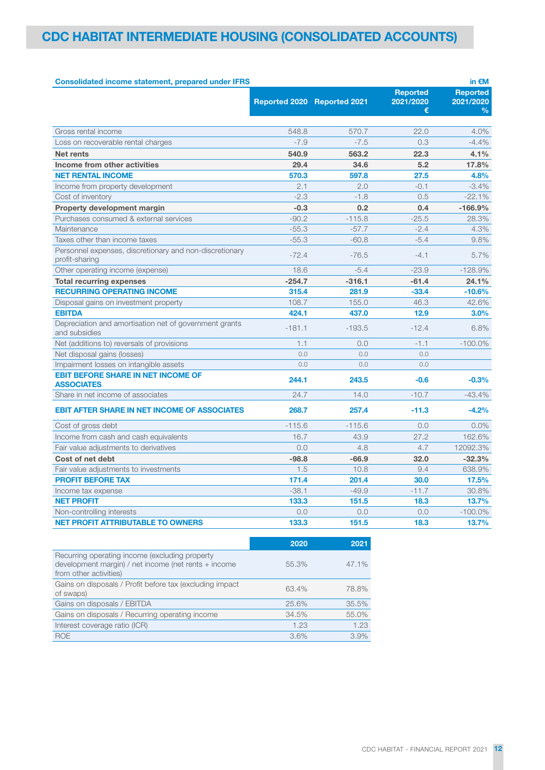| <b>Consolidated income statement, prepared under IFRS</b>                 |                             |          |                 | in $\epsilon$ M |
|---------------------------------------------------------------------------|-----------------------------|----------|-----------------|-----------------|
|                                                                           |                             |          | <b>Reported</b> | <b>Reported</b> |
|                                                                           | Reported 2020 Reported 2021 |          | 2021/2020       | 2021/2020       |
|                                                                           |                             |          | €               | $\frac{0}{0}$   |
| Gross rental income                                                       | 548.8                       | 570.7    | 22.0            | 4.0%            |
| Loss on recoverable rental charges                                        | $-7.9$                      | $-7.5$   | 0.3             | $-4.4%$         |
| <b>Net rents</b>                                                          | 540.9                       | 563.2    | 22.3            | 4.1%            |
| Income from other activities                                              | 29.4                        | 34.6     | 5.2             | 17.8%           |
| <b>NET RENTAL INCOME</b>                                                  | 570.3                       | 597.8    | 27.5            | 4.8%            |
| Income from property development                                          | 2.1                         | 2.0      | $-0.1$          | $-3.4%$         |
| Cost of inventory                                                         | $-2.3$                      | $-1.8$   | 0.5             | $-22.1%$        |
| Property development margin                                               | $-0.3$                      | 0.2      | 0.4             | $-166.9%$       |
| Purchases consumed & external services                                    | $-90.2$                     | $-115.8$ | $-25.5$         | 28.3%           |
| Maintenance                                                               | $-55.3$                     | $-57.7$  | $-2.4$          | 4.3%            |
| Taxes other than income taxes                                             | $-55.3$                     | $-60.8$  | $-5.4$          | 9.8%            |
| Personnel expenses, discretionary and non-discretionary<br>profit-sharing | $-72.4$                     | $-76.5$  | $-4.1$          | 5.7%            |
| Other operating income (expense)                                          | 18.6                        | $-5.4$   | $-23.9$         | $-128.9%$       |
| <b>Total recurring expenses</b>                                           | $-254.7$                    | $-316.1$ | $-61.4$         | 24.1%           |
| <b>RECURRING OPERATING INCOME</b>                                         | 315.4                       | 281.9    | $-33.4$         | $-10.6%$        |
| Disposal gains on investment property                                     | 108.7                       | 155.0    | 46.3            | 42.6%           |
| <b>EBITDA</b>                                                             | 424.1                       | 437.0    | 12.9            | 3.0%            |
| Depreciation and amortisation net of government grants<br>and subsidies   | $-181.1$                    | $-193.5$ | $-12.4$         | 6.8%            |
| Net (additions to) reversals of provisions                                | 1.1                         | 0.0      | $-1.1$          | $-100.0\%$      |
| Net disposal gains (losses)                                               | 0.0                         | 0.0      | 0.0             |                 |
| Impairment losses on intangible assets                                    | 0.0                         | 0.0      | 0.0             |                 |
| <b>EBIT BEFORE SHARE IN NET INCOME OF</b><br><b>ASSOCIATES</b>            | 244.1                       | 243.5    | $-0.6$          | $-0.3%$         |
| Share in net income of associates                                         | 24.7                        | 14.0     | $-10.7$         | $-43.4%$        |
| <b>EBIT AFTER SHARE IN NET INCOME OF ASSOCIATES</b>                       | 268.7                       | 257.4    | $-11.3$         | $-4.2%$         |
| Cost of gross debt                                                        | $-115.6$                    | $-115.6$ | 0.0             | $0.0\%$         |
| Income from cash and cash equivalents                                     | 16.7                        | 43.9     | 27.2            | 162.6%          |
| Fair value adjustments to derivatives                                     | 0.0                         | 4.8      | 4.7             | 12092.3%        |
| Cost of net debt                                                          | $-98.8$                     | $-66.9$  | 32.0            | $-32.3%$        |
| Fair value adjustments to investments                                     | 1.5                         | 10.8     | 9.4             | 638.9%          |
| <b>PROFIT BEFORE TAX</b>                                                  | 171.4                       | 201.4    | 30.0            | 17.5%           |
| Income tax expense                                                        | $-38.1$                     | $-49.9$  | $-11.7$         | 30.8%           |
| <b>NET PROFIT</b>                                                         | 133.3                       | 151.5    | 18.3            | 13.7%           |
| Non-controlling interests                                                 | 0.0                         | 0.0      | 0.0             | $-100.0\%$      |
| <b>NET PROFIT ATTRIBUTABLE TO OWNERS</b>                                  | 133.3                       | 151.5    | 18.3            | 13.7%           |
|                                                                           | 2020                        | 2021     |                 |                 |

| Recurring operating income (excluding property<br>development margin) / net income (net rents + income<br>from other activities) | 55.3% | 47.1% |
|----------------------------------------------------------------------------------------------------------------------------------|-------|-------|
| Gains on disposals / Profit before tax (excluding impact<br>of swaps)                                                            | 63.4% | 78.8% |
| Gains on disposals / EBITDA                                                                                                      | 25.6% | 35.5% |
| Gains on disposals / Recurring operating income                                                                                  | 34.5% | 55.0% |
| Interest coverage ratio (ICR)                                                                                                    | 1.23  | 1.23  |
| <b>ROE</b>                                                                                                                       | 3.6%  | 3.9%  |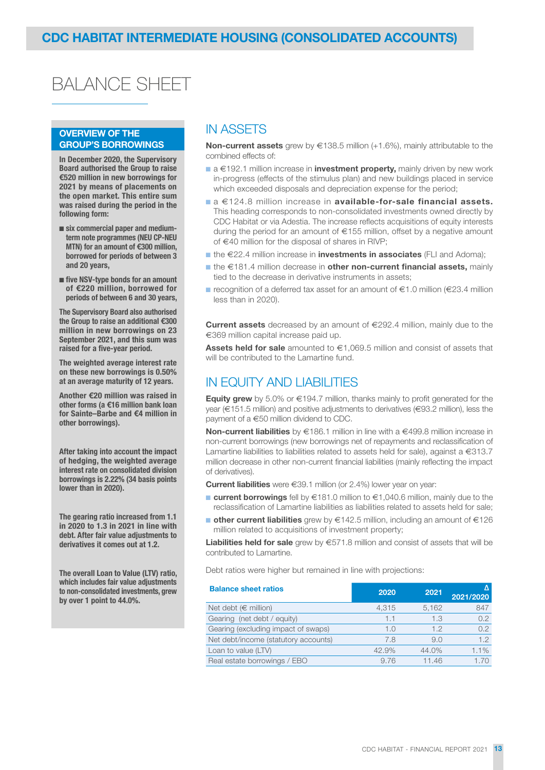# BALANCE SHEET

## OVERVIEW OF THE GROUP'S BORROWINGS

In December 2020, the Supervisory Board authorised the Group to raise €520 million in new borrowings for 2021 by means of placements on the open market. This entire sum was raised during the period in the following form:

- six commercial paper and mediumterm note programmes (NEU CP-NEU MTN) for an amount of €300 million, borrowed for periods of between 3 and 20 years,
- five NSV-type bonds for an amount of €220 million, borrowed for periods of between 6 and 30 years,

The Supervisory Board also authorised the Group to raise an additional €300 million in new borrowings on 23 September 2021, and this sum was raised for a five-year period.

The weighted average interest rate on these new borrowings is 0.50% at an average maturity of 12 years.

Another €20 million was raised in other forms (a €16 million bank loan for Sainte–Barbe and €4 million in other borrowings).

After taking into account the impact of hedging, the weighted average interest rate on consolidated division borrowings is 2.22% (34 basis points lower than in 2020).

The gearing ratio increased from 1.1 in 2020 to 1.3 in 2021 in line with debt. After fair value adjustments to derivatives it comes out at 1.2.

The overall Loan to Value (LTV) ratio, which includes fair value adjustments to non-consolidated investments, grew by over 1 point to 44.0%.

## IN ASSETS

Non-current assets grew by  $\in$ 138.5 million (+1.6%), mainly attributable to the combined effects of:

- a €192.1 million increase in **investment property**, mainly driven by new work in-progress (effects of the stimulus plan) and new buildings placed in service which exceeded disposals and depreciation expense for the period;
- a €124.8 million increase in available-for-sale financial assets. This heading corresponds to non-consolidated investments owned directly by CDC Habitat or via Adestia. The increase reflects acquisitions of equity interests during the period for an amount of €155 million, offset by a negative amount of €40 million for the disposal of shares in RIVP;
- $\blacksquare$  the  $\in$ 22.4 million increase in **investments in associates** (FLI and Adoma);
- the €181.4 million decrease in other non-current financial assets, mainly tied to the decrease in derivative instruments in assets;
- recognition of a deferred tax asset for an amount of  $€1.0$  million (€23.4 million less than in 2020).

Current assets decreased by an amount of €292.4 million, mainly due to the €369 million capital increase paid up.

Assets held for sale amounted to €1,069.5 million and consist of assets that will be contributed to the Lamartine fund.

## IN EQUITY AND LIABILITIES

**Equity grew** by 5.0% or  $\in$ 194.7 million, thanks mainly to profit generated for the year (€151.5 million) and positive adjustments to derivatives (€93.2 million), less the payment of a €50 million dividend to CDC.

Non-current liabilities by €186.1 million in line with a €499.8 million increase in non-current borrowings (new borrowings net of repayments and reclassification of Lamartine liabilities to liabilities related to assets held for sale), against a €313.7 million decrease in other non-current financial liabilities (mainly reflecting the impact of derivatives).

Current liabilities were €39.1 million (or 2.4%) lower year on year:

- current borrowings fell by €181.0 million to €1,040.6 million, mainly due to the reclassification of Lamartine liabilities as liabilities related to assets held for sale;
- **other current liabilities** grew by  $\in$ 142.5 million, including an amount of  $\in$ 126 million related to acquisitions of investment property;

**Liabilities held for sale** grew by  $\epsilon$ 571.8 million and consist of assets that will be contributed to Lamartine.

Debt ratios were higher but remained in line with projections:

| <b>Balance sheet ratios</b>          | 2020  | 2021  | 2021/2020 |
|--------------------------------------|-------|-------|-----------|
| Net debt ( $\in$ million)            | 4.315 | 5,162 | 847       |
| Gearing (net debt / equity)          | 1.1   | 1.3   | 0.2       |
| Gearing (excluding impact of swaps)  | 1.0   | 12    | 0.2       |
| Net debt/income (statutory accounts) | 7.8   | 9.0   | 1.2       |
| Loan to value (LTV)                  | 42.9% | 44.0% | 1.1%      |
| Real estate borrowings / EBO         | 9.76  | 11.46 | 170       |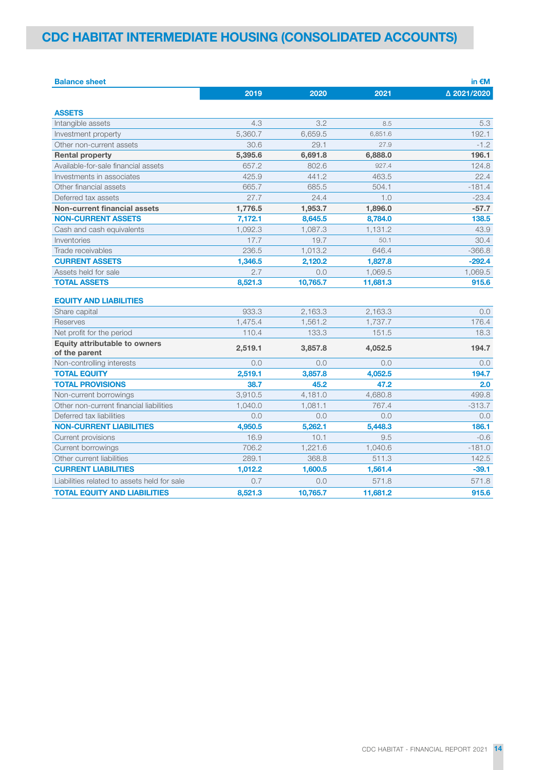## CDC HABITAT INTERMEDIATE HOUSING (CONSOLIDATED ACCOUNTS)

| <b>Balance sheet</b>                                  |         |          |          | in $\epsilon$ M |
|-------------------------------------------------------|---------|----------|----------|-----------------|
|                                                       | 2019    | 2020     | 2021     | △ 2021/2020     |
| <b>ASSETS</b>                                         |         |          |          |                 |
| Intangible assets                                     | 4.3     | 3.2      | 8.5      | 5.3             |
| Investment property                                   | 5,360.7 | 6,659.5  | 6,851.6  | 192.1           |
| Other non-current assets                              | 30.6    | 29.1     | 27.9     | $-1.2$          |
| <b>Rental property</b>                                | 5,395.6 | 6,691.8  | 6,888.0  | 196.1           |
| Available-for-sale financial assets                   | 657.2   | 802.6    | 927.4    | 124.8           |
| Investments in associates                             | 425.9   | 441.2    | 463.5    | 22.4            |
| Other financial assets                                | 665.7   | 685.5    | 504.1    | $-181.4$        |
| Deferred tax assets                                   | 27.7    | 24.4     | 1.0      | $-23.4$         |
| <b>Non-current financial assets</b>                   | 1,776.5 | 1,953.7  | 1,896.0  | $-57.7$         |
| <b>NON-CURRENT ASSETS</b>                             | 7,172.1 | 8,645.5  | 8,784.0  | 138.5           |
| Cash and cash equivalents                             | 1,092.3 | 1,087.3  | 1,131.2  | 43.9            |
| Inventories                                           | 17.7    | 19.7     | 50.1     | 30.4            |
| Trade receivables                                     | 236.5   | 1,013.2  | 646.4    | $-366.8$        |
| <b>CURRENT ASSETS</b>                                 | 1,346.5 | 2,120.2  | 1,827.8  | $-292.4$        |
| Assets held for sale                                  | 2.7     | 0.0      | 1,069.5  | 1,069.5         |
| <b>TOTAL ASSETS</b>                                   | 8,521.3 | 10,765.7 | 11,681.3 | 915.6           |
| <b>EQUITY AND LIABILITIES</b>                         |         |          |          |                 |
| Share capital                                         | 933.3   | 2,163.3  | 2,163.3  | 0.0             |
| <b>Reserves</b>                                       | 1,475.4 | 1.561.2  | 1.737.7  | 176.4           |
| Net profit for the period                             | 110.4   | 133.3    | 151.5    | 18.3            |
| <b>Equity attributable to owners</b><br>of the parent | 2,519.1 | 3,857.8  | 4,052.5  | 194.7           |
| Non-controlling interests                             | 0.0     | 0.0      | 0.0      | 0.0             |
| <b>TOTAL EQUITY</b>                                   | 2,519.1 | 3,857.8  | 4,052.5  | 194.7           |
| <b>TOTAL PROVISIONS</b>                               | 38.7    | 45.2     | 47.2     | 2.0             |
| Non-current borrowings                                | 3.910.5 | 4.181.0  | 4.680.8  | 499.8           |
| Other non-current financial liabilities               | 1,040.0 | 1,081.1  | 767.4    | $-313.7$        |
| Deferred tax liabilities                              | 0.0     | 0.0      | 0.0      | 0.0             |
| <b>NON-CURRENT LIABILITIES</b>                        | 4,950.5 | 5,262.1  | 5,448.3  | 186.1           |
| Current provisions                                    | 16.9    | 10.1     | 9.5      | $-0.6$          |
| Current borrowings                                    | 706.2   | 1,221.6  | 1,040.6  | $-181.0$        |
| Other current liabilities                             | 289.1   | 368.8    | 511.3    | 142.5           |
| <b>CURRENT LIABILITIES</b>                            | 1,012.2 | 1,600.5  | 1,561.4  | $-39.1$         |
| Liabilities related to assets held for sale           | 0.7     | 0.0      | 571.8    | 571.8           |
| <b>TOTAL EQUITY AND LIABILITIES</b>                   | 8.521.3 | 10.765.7 | 11.681.2 | 915.6           |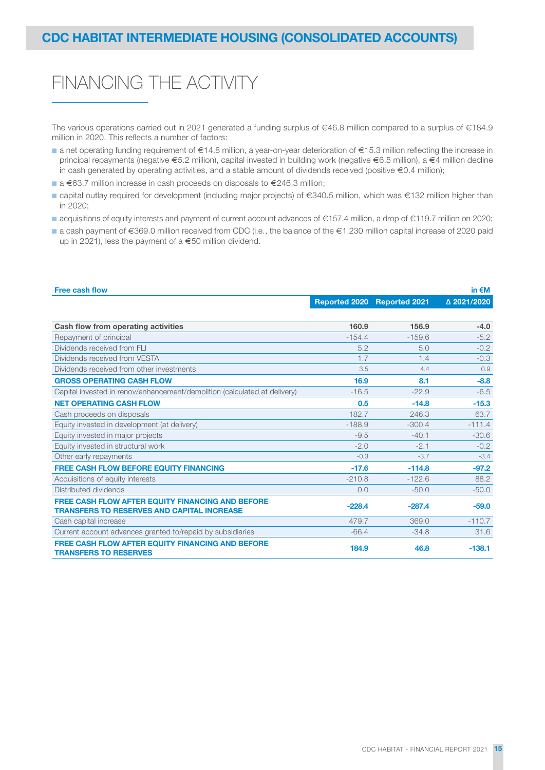# FINANCING THE ACTIVITY

The various operations carried out in 2021 generated a funding surplus of €46.8 million compared to a surplus of €184.9 million in 2020. This reflects a number of factors:

- a net operating funding requirement of €14.8 million, a year-on-year deterioration of €15.3 million reflecting the increase in principal repayments (negative €5.2 million), capital invested in building work (negative €6.5 million), a €4 million decline in cash generated by operating activities, and a stable amount of dividends received (positive €0.4 million);
- a €63.7 million increase in cash proceeds on disposals to €246.3 million;
- capital outlay required for development (including major projects) of €340.5 million, which was €132 million higher than in 2020;
- acquisitions of equity interests and payment of current account advances of €157.4 million, a drop of €119.7 million on 2020;
- a cash payment of €369.0 million received from CDC (i.e., the balance of the €1.230 million capital increase of 2020 paid up in 2021), less the payment of a €50 million dividend.

| <b>Free cash flow</b>                                                                   |                      |                      | in $\epsilon$ M |
|-----------------------------------------------------------------------------------------|----------------------|----------------------|-----------------|
|                                                                                         | <b>Reported 2020</b> | <b>Reported 2021</b> | △ 2021/2020     |
|                                                                                         |                      |                      |                 |
| Cash flow from operating activities                                                     | 160.9                | 156.9                | $-4.0$          |
| Repayment of principal                                                                  | $-154.4$             | $-159.6$             | $-5.2$          |
| Dividends received from FLI                                                             | 5.2                  | 5.0                  | $-0.2$          |
| Dividends received from VESTA                                                           | 1.7                  | 1.4                  | $-0.3$          |
| Dividends received from other investments                                               | 3.5                  | 4.4                  | 0.9             |
| <b>GROSS OPERATING CASH FLOW</b>                                                        | 16.9                 | 8.1                  | $-8.8$          |
| Capital invested in renov/enhancement/demolition (calculated at delivery)               | $-16.5$              | $-22.9$              | $-6.5$          |
| <b>NET OPERATING CASH FLOW</b>                                                          | 0.5                  | $-14.8$              | $-15.3$         |
| Cash proceeds on disposals                                                              | 182.7                | 246.3                | 63.7            |
| Equity invested in development (at delivery)                                            | $-188.9$             | $-300.4$             | $-111.4$        |
| Equity invested in major projects                                                       | $-9.5$               | $-40.1$              | $-30.6$         |
| Equity invested in structural work                                                      | $-2.0$               | $-2.1$               | $-0.2$          |
| Other early repayments                                                                  | $-0.3$               | $-3.7$               | $-3.4$          |
| <b>FREE CASH FLOW BEFORE EQUITY FINANCING</b>                                           | $-17.6$              | $-114.8$             | $-97.2$         |
| Acquisitions of equity interests                                                        | $-210.8$             | $-122.6$             | 88.2            |
| Distributed dividends                                                                   | 0.0                  | $-50.0$              | $-50.0$         |
| <b>FREE CASH FLOW AFTER EQUITY FINANCING AND BEFORE</b>                                 | $-228.4$             | $-287.4$             | $-59.0$         |
| <b>TRANSFERS TO RESERVES AND CAPITAL INCREASE</b>                                       |                      |                      |                 |
| Cash capital increase                                                                   | 479.7                | 369.0                | $-110.7$        |
| Current account advances granted to/repaid by subsidiaries                              | $-66.4$              | $-34.8$              | 31.6            |
| <b>FREE CASH FLOW AFTER EQUITY FINANCING AND BEFORE</b><br><b>TRANSFERS TO RESERVES</b> | 184.9                | 46.8                 | $-138.1$        |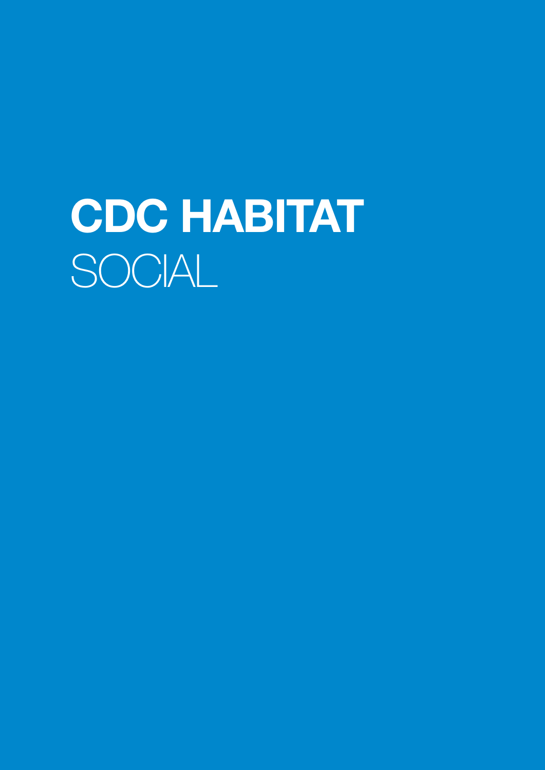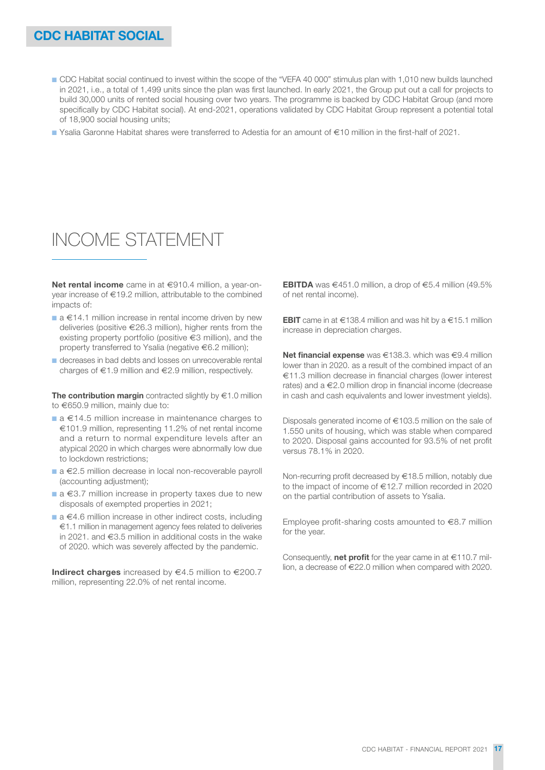- CDC Habitat social continued to invest within the scope of the "VEFA 40 000" stimulus plan with 1,010 new builds launched in 2021, i.e., a total of 1,499 units since the plan was first launched. In early 2021, the Group put out a call for projects to build 30,000 units of rented social housing over two years. The programme is backed by CDC Habitat Group (and more specifically by CDC Habitat social). At end-2021, operations validated by CDC Habitat Group represent a potential total of 18,900 social housing units;
- Ysalia Garonne Habitat shares were transferred to Adestia for an amount of €10 million in the first-half of 2021.

# INCOME STATEMENT

Net rental income came in at €910.4 million, a vear-onyear increase of €19.2 million, attributable to the combined impacts of:

- a €14.1 million increase in rental income driven by new deliveries (positive €26.3 million), higher rents from the existing property portfolio (positive €3 million), and the property transferred to Ysalia (negative €6.2 million);
- decreases in bad debts and losses on unrecoverable rental charges of €1.9 million and €2.9 million, respectively.

The contribution margin contracted slightly by  $\in 1.0$  million to €650.9 million, mainly due to:

- $a \in 14.5$  million increase in maintenance charges to €101.9 million, representing 11.2% of net rental income and a return to normal expenditure levels after an atypical 2020 in which charges were abnormally low due to lockdown restrictions;
- a €2.5 million decrease in local non-recoverable payroll (accounting adjustment);
- a €3.7 million increase in property taxes due to new disposals of exempted properties in 2021;
- a €4.6 million increase in other indirect costs, including €1.1 million in management agency fees related to deliveries in 2021. and €3.5 million in additional costs in the wake of 2020. which was severely affected by the pandemic.

Indirect charges increased by  $\in$  4.5 million to  $\in$  200.7 million, representing 22.0% of net rental income.

**EBITDA** was €451.0 million, a drop of €5.4 million (49.5%) of net rental income).

**EBIT** came in at €138.4 million and was hit by a €15.1 million increase in depreciation charges.

Net financial expense was €138.3. which was €9.4 million lower than in 2020. as a result of the combined impact of an €11.3 million decrease in financial charges (lower interest rates) and a €2.0 million drop in financial income (decrease in cash and cash equivalents and lower investment yields).

Disposals generated income of €103.5 million on the sale of 1.550 units of housing, which was stable when compared to 2020. Disposal gains accounted for 93.5% of net profit versus 78.1% in 2020.

Non-recurring profit decreased by €18.5 million, notably due to the impact of income of €12.7 million recorded in 2020 on the partial contribution of assets to Ysalia.

Employee profit-sharing costs amounted to €8.7 million for the year.

Consequently, **net profit** for the year came in at  $\in$ 110.7 million, a decrease of €22.0 million when compared with 2020.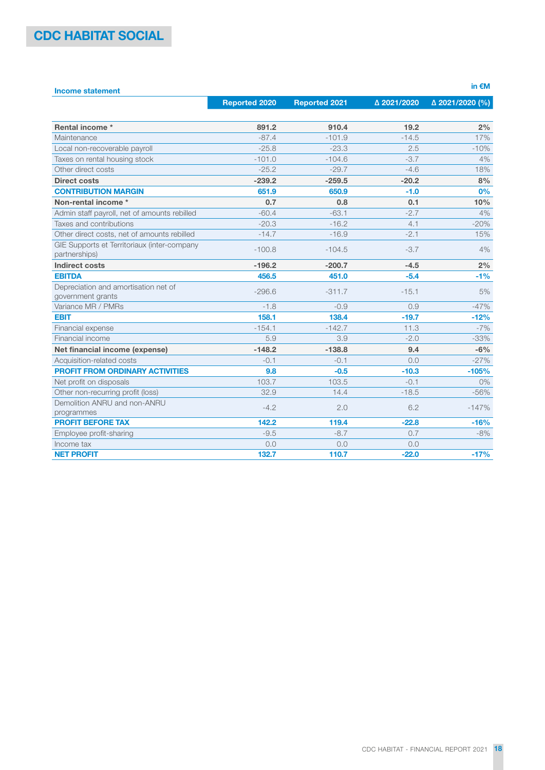| <b>Income statement</b>                                      |                      |                      |             | in $\epsilon$ M |
|--------------------------------------------------------------|----------------------|----------------------|-------------|-----------------|
|                                                              | <b>Reported 2020</b> | <b>Reported 2021</b> | △ 2021/2020 | Δ 2021/2020 (%) |
| Rental income *                                              | 891.2                | 910.4                | 19.2        | 2%              |
| Maintenance                                                  | $-87.4$              | $-101.9$             | $-14.5$     | 17%             |
| Local non-recoverable payroll                                | $-25.8$              | $-23.3$              | 2.5         | $-10%$          |
| Taxes on rental housing stock                                | $-101.0$             | $-104.6$             | $-3.7$      | 4%              |
| Other direct costs                                           | $-25.2$              | $-29.7$              | $-4.6$      | 18%             |
| <b>Direct costs</b>                                          | $-239.2$             | $-259.5$             | $-20.2$     | 8%              |
| <b>CONTRIBUTION MARGIN</b>                                   | 651.9                | 650.9                | $-1.0$      | 0%              |
| Non-rental income *                                          | 0.7                  | 0.8                  | 0.1         | 10%             |
| Admin staff payroll, net of amounts rebilled                 | $-60.4$              | $-63.1$              | $-2.7$      | 4%              |
| Taxes and contributions                                      | $-20.3$              | $-16.2$              | 4.1         | $-20%$          |
| Other direct costs, net of amounts rebilled                  | $-14.7$              | $-16.9$              | $-2.1$      | 15%             |
| GIE Supports et Territoriaux (inter-company<br>partnerships) | $-100.8$             | $-104.5$             | $-3.7$      | 4%              |
| <b>Indirect costs</b>                                        | $-196.2$             | $-200.7$             | $-4.5$      | 2%              |
| <b>EBITDA</b>                                                | 456.5                | 451.0                | $-5.4$      | $-1%$           |
| Depreciation and amortisation net of<br>government grants    | $-296.6$             | $-311.7$             | $-15.1$     | 5%              |
| Variance MR / PMRs                                           | $-1.8$               | $-0.9$               | 0.9         | $-47%$          |
| <b>EBIT</b>                                                  | 158.1                | 138.4                | $-19.7$     | $-12%$          |
| Financial expense                                            | $-154.1$             | $-142.7$             | 11.3        | $-7%$           |
| Financial income                                             | 5.9                  | 3.9                  | $-2.0$      | $-33%$          |
| Net financial income (expense)                               | $-148.2$             | $-138.8$             | 9.4         | $-6%$           |
| Acquisition-related costs                                    | $-0.1$               | $-0.1$               | 0.0         | $-27%$          |
| PROFIT FROM ORDINARY ACTIVITIES                              | 9.8                  | $-0.5$               | $-10.3$     | $-105%$         |
| Net profit on disposals                                      | 103.7                | 103.5                | $-0.1$      | 0%              |
| Other non-recurring profit (loss)                            | 32.9                 | 14.4                 | $-18.5$     | $-56%$          |
| Demolition ANRU and non-ANRU<br>programmes                   | $-4.2$               | 2.0                  | 6.2         | $-147%$         |
| <b>PROFIT BEFORE TAX</b>                                     | 142.2                | 119.4                | $-22.8$     | $-16%$          |
| Employee profit-sharing                                      | $-9.5$               | $-8.7$               | 0.7         | $-8%$           |
| Income tax                                                   | 0.0                  | 0.0                  | 0.0         |                 |
| <b>NET PROFIT</b>                                            | 132.7                | 110.7                | $-22.0$     | $-17%$          |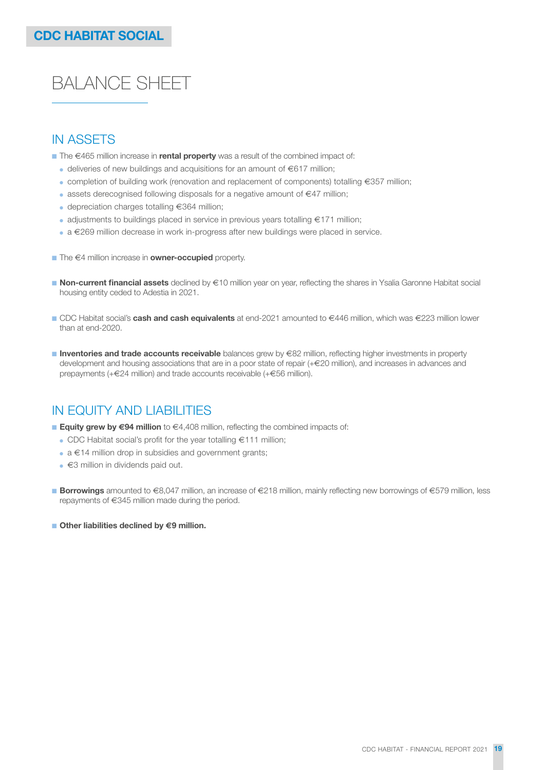# BALANCE SHEET

## IN ASSETS

- $\blacksquare$  The  $\in$ 465 million increase in **rental property** was a result of the combined impact of:
	- $\bullet$  deliveries of new buildings and acquisitions for an amount of  $\in$ 617 million:
	- completion of building work (renovation and replacement of components) totalling €357 million;
	- assets derecognised following disposals for a negative amount of €47 million;
	- $\bullet$  depreciation charges totalling  $\epsilon$ 364 million;
	- adjustments to buildings placed in service in previous years totalling €171 million;
	- a €269 million decrease in work in-progress after new buildings were placed in service.
- $\blacksquare$  The  $\in$ 4 million increase in **owner-occupied** property.
- Non-current financial assets declined by €10 million year on year, reflecting the shares in Ysalia Garonne Habitat social housing entity ceded to Adestia in 2021.
- CDC Habitat social's **cash and cash equivalents** at end-2021 amounted to €446 million, which was €223 million lower than at end-2020.
- Inventories and trade accounts receivable balances grew by €82 million, reflecting higher investments in property development and housing associations that are in a poor state of repair (+€20 million), and increases in advances and prepayments (+€24 million) and trade accounts receivable (+€56 million).

## IN EQUITY AND LIABILITIES

- **Equity grew by €94 million** to €4,408 million, reflecting the combined impacts of:
	- CDC Habitat social's profit for the year totalling €111 million;
	- $\bullet$  a  $\in$  14 million drop in subsidies and government grants;
	- €3 million in dividends paid out.
- Borrowings amounted to €8,047 million, an increase of €218 million, mainly reflecting new borrowings of €579 million, less repayments of €345 million made during the period.
- Other liabilities declined by €9 million.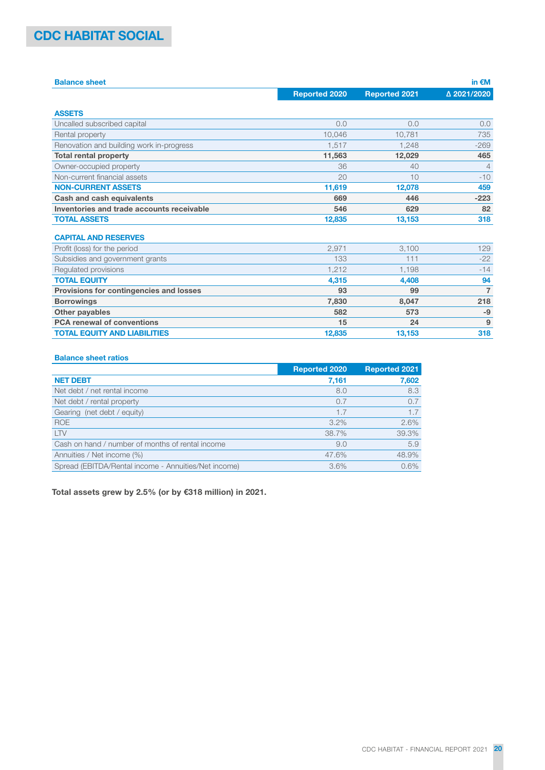## CDC HABITAT SOCIAL

| <b>Balance sheet</b>                      |                      |                      | in $\epsilon$ M |
|-------------------------------------------|----------------------|----------------------|-----------------|
|                                           | <b>Reported 2020</b> | <b>Reported 2021</b> | △ 2021/2020     |
| <b>ASSETS</b>                             |                      |                      |                 |
| Uncalled subscribed capital               | 0.0                  | 0.0                  | 0.0             |
| Rental property                           | 10.046               | 10.781               | 735             |
| Renovation and building work in-progress  | 1.517                | 1.248                | $-269$          |
| <b>Total rental property</b>              | 11,563               | 12,029               | 465             |
| Owner-occupied property                   | 36                   | 40                   | $\overline{4}$  |
| Non-current financial assets              | 20                   | 10                   | $-10$           |
| <b>NON-CURRENT ASSETS</b>                 | 11,619               | 12,078               | 459             |
| <b>Cash and cash equivalents</b>          | 669                  | 446                  | $-223$          |
| Inventories and trade accounts receivable | 546                  | 629                  | 82              |
| <b>TOTAL ASSETS</b>                       | 12,835               | 13,153               | 318             |
| <b>CAPITAL AND RESERVES</b>               |                      |                      |                 |
| Profit (loss) for the period              | 2.971                | 3.100                | 129             |
| Subsidies and government grants           | 133                  | 111                  | $-22$           |
| Regulated provisions                      | 1.212                | 1.198                | $-14$           |
| <b>TOTAL EQUITY</b>                       | 4,315                | 4,408                | 94              |
| Provisions for contingencies and losses   | 93                   | 99                   | $\overline{7}$  |
| <b>Borrowings</b>                         | 7,830                | 8,047                | 218             |
| Other payables                            | 582                  | 573                  | $-9$            |
| <b>PCA renewal of conventions</b>         | 15                   | 24                   | 9               |
| <b>TOTAL EQUITY AND LIABILITIES</b>       | 12,835               | 13,153               | 318             |

## Balance sheet ratios

|                                                      | <b>Reported 2020</b> | <b>Reported 2021</b> |
|------------------------------------------------------|----------------------|----------------------|
| <b>NET DEBT</b>                                      | 7,161                | 7,602                |
| Net debt / net rental income                         | 8.0                  | 8.3                  |
| Net debt / rental property                           | 0.7                  | 0.7                  |
| Gearing (net debt / equity)                          | 1.7                  | 1.7                  |
| <b>ROE</b>                                           | $3.2\%$              | 2.6%                 |
| <b>LTV</b>                                           | 38.7%                | 39.3%                |
| Cash on hand / number of months of rental income     | 9.0                  | 5.9                  |
| Annuities / Net income (%)                           | 47.6%                | 48.9%                |
| Spread (EBITDA/Rental income - Annuities/Net income) | 3.6%                 | 0.6%                 |

Total assets grew by 2.5% (or by €318 million) in 2021.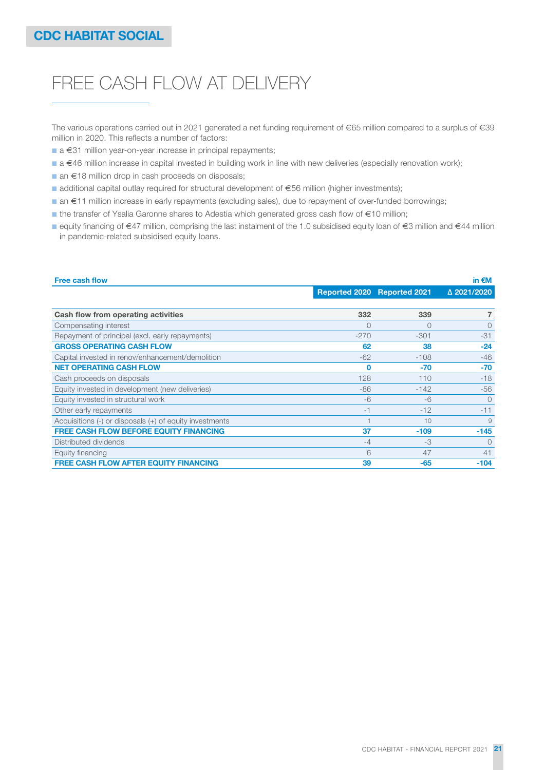# FREE CASH FLOW AT DELIVERY

The various operations carried out in 2021 generated a net funding requirement of €65 million compared to a surplus of €39 million in 2020. This reflects a number of factors:

- a €31 million year-on-year increase in principal repayments;
- a €46 million increase in capital invested in building work in line with new deliveries (especially renovation work);
- an €18 million drop in cash proceeds on disposals;
- additional capital outlay required for structural development of €56 million (higher investments);
- an €11 million increase in early repayments (excluding sales), due to repayment of over-funded borrowings;
- the transfer of Ysalia Garonne shares to Adestia which generated gross cash flow of €10 million;
- equity financing of €47 million, comprising the last instalment of the 1.0 subsidised equity loan of €3 million and €44 million in pandemic-related subsidised equity loans.

| <b>Free cash flow</b>                                       |        |                             | in $\epsilon$ M |
|-------------------------------------------------------------|--------|-----------------------------|-----------------|
|                                                             |        | Reported 2020 Reported 2021 | △ 2021/2020     |
|                                                             |        |                             |                 |
| Cash flow from operating activities                         | 332    | 339                         | 7               |
| Compensating interest                                       | 0      | $\Omega$                    | $\Omega$        |
| Repayment of principal (excl. early repayments)             | $-270$ | $-301$                      | $-31$           |
| <b>GROSS OPERATING CASH FLOW</b>                            | 62     | 38                          | $-24$           |
| Capital invested in renov/enhancement/demolition            | $-62$  | $-108$                      | $-46$           |
| <b>NET OPERATING CASH FLOW</b>                              | 0      | -70                         | $-70$           |
| Cash proceeds on disposals                                  | 128    | 110                         | $-18$           |
| Equity invested in development (new deliveries)             | -86    | $-142$                      | $-56$           |
| Equity invested in structural work                          | $-6$   | $-6$                        | $\Omega$        |
| Other early repayments                                      | -1     | $-12$                       | $-11$           |
| Acquisitions $(-)$ or disposals $(+)$ of equity investments |        | 10                          | 9               |
| <b>FREE CASH FLOW BEFORE EQUITY FINANCING</b>               | 37     | $-109$                      | $-145$          |
| Distributed dividends                                       | $-4$   | $-3$                        | $\Omega$        |
| Equity financing                                            | 6      | 47                          | 41              |
| <b>FREE CASH FLOW AFTER EQUITY FINANCING</b>                | 39     | $-65$                       | $-104$          |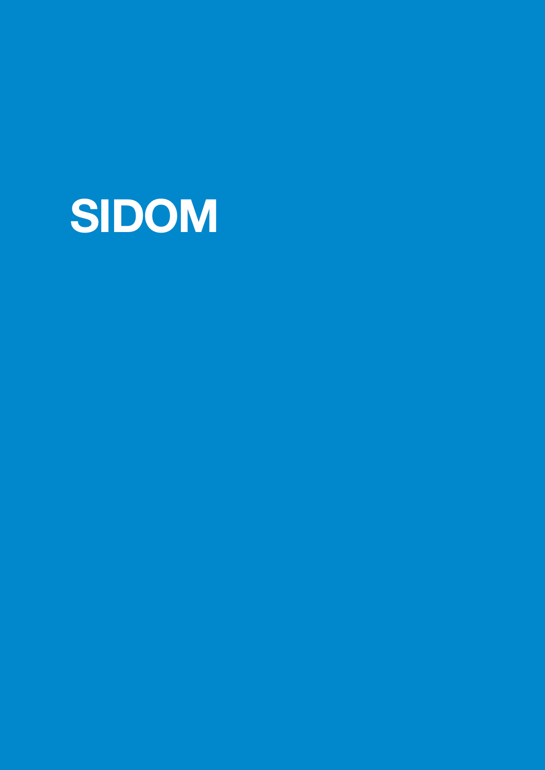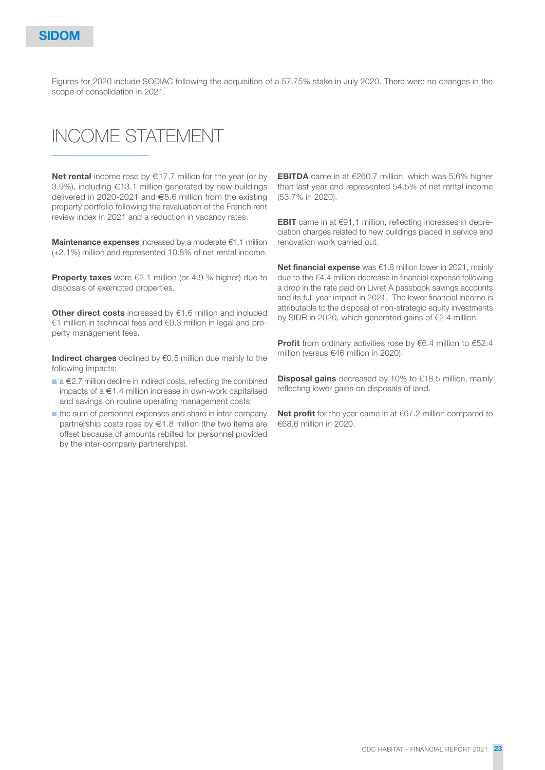Figures for 2020 include SODIAC following the acquisition of a 57.75% stake in July 2020. There were no changes in the scope of consolidation in 2021.

# INCOME STATEMENT

Net rental income rose by  $\epsilon$ 17.7 million for the year (or by 3.9%), including €13.1 million generated by new buildings delivered in 2020-2021 and €5.6 million from the existing property portfolio following the revaluation of the French rent review index in 2021 and a reduction in vacancy rates.

**Maintenance expenses** increased by a moderate  $€1.1$  million (+2.1%) million and represented 10.8% of net rental income.

**Property taxes** were  $\epsilon$ 2.1 million (or 4.9 % higher) due to disposals of exempted properties.

Other direct costs increased by €1.6 million and included €1 million in technical fees and €0.3 million in legal and property management fees.

Indirect charges declined by  $\epsilon$ 0.5 million due mainly to the following impacts:

- a €2.7 million decline in indirect costs, reflecting the combined impacts of a €1.4 million increase in own-work capitalised and savings on routine operating management costs;
- the sum of personnel expenses and share in inter-company partnership costs rose by €1.8 million (the two items are offset because of amounts rebilled for personnel provided by the inter-company partnerships).

EBITDA came in at €260.7 million, which was 5.6% higher than last year and represented 54.5% of net rental income (53.7% in 2020).

EBIT came in at €91.1 million, reflecting increases in depreciation charges related to new buildings placed in service and renovation work carried out.

Net financial expense was €1.8 million lower in 2021, mainly due to the €4.4 million decrease in financial expense following a drop in the rate paid on Livret A passbook savings accounts and its full-year impact in 2021. The lower financial income is attributable to the disposal of non-strategic equity investments by SIDR in 2020, which generated gains of €2.4 million.

**Profit** from ordinary activities rose by  $\epsilon$ 6.4 million to  $\epsilon$ 52.4 million (versus €46 million in 2020).

**Disposal gains** decreased by 10% to €18.5 million, mainly reflecting lower gains on disposals of land.

Net profit for the year came in at €67.2 million compared to €68.6 million in 2020.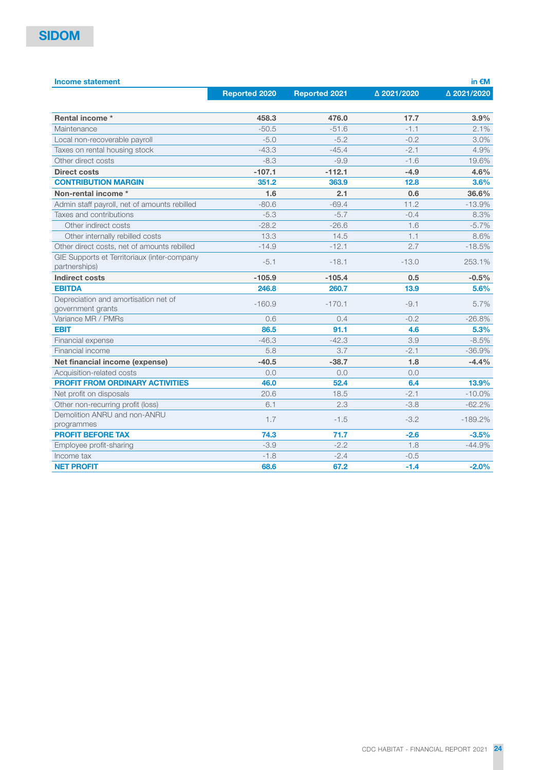| <b>Income statement</b>                                      |                      |                      |             | in $\notin M$ |
|--------------------------------------------------------------|----------------------|----------------------|-------------|---------------|
|                                                              | <b>Reported 2020</b> | <b>Reported 2021</b> | △ 2021/2020 | △ 2021/2020   |
|                                                              |                      |                      |             |               |
| Rental income *                                              | 458.3                | 476.0                | 17.7        | 3.9%          |
| Maintenance                                                  | $-50.5$              | $-51.6$              | $-1.1$      | 2.1%          |
| Local non-recoverable payroll                                | $-5.0$               | $-5.2$               | $-0.2$      | 3.0%          |
| Taxes on rental housing stock                                | $-43.3$              | $-45.4$              | $-2.1$      | 4.9%          |
| Other direct costs                                           | $-8.3$               | $-9.9$               | $-1.6$      | 19.6%         |
| <b>Direct costs</b>                                          | $-107.1$             | $-112.1$             | $-4.9$      | 4.6%          |
| <b>CONTRIBUTION MARGIN</b>                                   | 351.2                | 363.9                | 12.8        | 3.6%          |
| Non-rental income *                                          | 1.6                  | 2.1                  | 0.6         | 36.6%         |
| Admin staff payroll, net of amounts rebilled                 | $-80.6$              | $-69.4$              | 11.2        | $-13.9%$      |
| Taxes and contributions                                      | $-5.3$               | $-5.7$               | $-0.4$      | 8.3%          |
| Other indirect costs                                         | $-28.2$              | $-26.6$              | 1.6         | $-5.7%$       |
| Other internally rebilled costs                              | 13.3                 | 14.5                 | 1.1         | 8.6%          |
| Other direct costs, net of amounts rebilled                  | $-14.9$              | $-12.1$              | 2.7         | $-18.5%$      |
| GIE Supports et Territoriaux (inter-company<br>partnerships) | $-5.1$               | $-18.1$              | $-13.0$     | 253.1%        |
| <b>Indirect costs</b>                                        | $-105.9$             | $-105.4$             | 0.5         | $-0.5%$       |
| <b>EBITDA</b>                                                | 246.8                | 260.7                | 13.9        | 5.6%          |
| Depreciation and amortisation net of<br>government grants    | $-160.9$             | $-170.1$             | $-9.1$      | 5.7%          |
| Variance MR / PMRs                                           | 0.6                  | 0.4                  | $-0.2$      | $-26.8%$      |
| <b>EBIT</b>                                                  | 86.5                 | 91.1                 | 4.6         | 5.3%          |
| Financial expense                                            | $-46.3$              | $-42.3$              | 3.9         | $-8.5%$       |
| Financial income                                             | 5.8                  | 3.7                  | $-2.1$      | $-36.9%$      |
| Net financial income (expense)                               | $-40.5$              | $-38.7$              | 1.8         | $-4.4%$       |
| Acquisition-related costs                                    | 0.0                  | 0.0                  | 0.0         |               |
| <b>PROFIT FROM ORDINARY ACTIVITIES</b>                       | 46.0                 | 52.4                 | 6.4         | 13.9%         |
| Net profit on disposals                                      | 20.6                 | 18.5                 | $-2.1$      | $-10.0\%$     |
| Other non-recurring profit (loss)                            | 6.1                  | 2.3                  | $-3.8$      | $-62.2%$      |
| Demolition ANRU and non-ANRU<br>programmes                   | 1.7                  | $-1.5$               | $-3.2$      | $-189.2%$     |
| <b>PROFIT BEFORE TAX</b>                                     | 74.3                 | 71.7                 | $-2.6$      | $-3.5%$       |
| Employee profit-sharing                                      | $-3.9$               | $-2.2$               | 1.8         | $-44.9%$      |
| Income tax                                                   | $-1.8$               | $-2.4$               | $-0.5$      |               |
| <b>NET PROFIT</b>                                            | 68.6                 | 67.2                 | $-1.4$      | $-2.0%$       |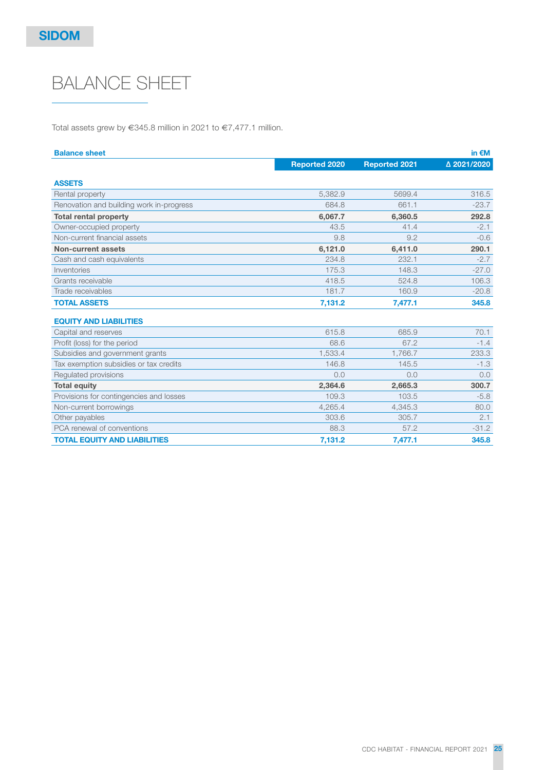# BALANCE SHEET

Total assets grew by €345.8 million in 2021 to €7,477.1 million.

| <b>Balance sheet</b>                     |                      |                      | in $\notin M$ |
|------------------------------------------|----------------------|----------------------|---------------|
|                                          | <b>Reported 2020</b> | <b>Reported 2021</b> | △ 2021/2020   |
| <b>ASSETS</b>                            |                      |                      |               |
| Rental property                          | 5,382.9              | 5699.4               | 316.5         |
| Renovation and building work in-progress | 684.8                | 661.1                | $-23.7$       |
| <b>Total rental property</b>             | 6,067.7              | 6,360.5              | 292.8         |
| Owner-occupied property                  | 43.5                 | 41.4                 | $-2.1$        |
| Non-current financial assets             | 9.8                  | 9.2                  | $-0.6$        |
| Non-current assets                       | 6,121.0              | 6,411.0              | 290.1         |
| Cash and cash equivalents                | 234.8                | 232.1                | $-2.7$        |
| Inventories                              | 175.3                | 148.3                | $-27.0$       |
| Grants receivable                        | 418.5                | 524.8                | 106.3         |
| Trade receivables                        | 181.7                | 160.9                | $-20.8$       |
| <b>TOTAL ASSETS</b>                      | 7,131.2              | 7,477.1              | 345.8         |
| <b>EQUITY AND LIABILITIES</b>            |                      |                      |               |
| Capital and reserves                     | 615.8                | 685.9                | 70.1          |
| Profit (loss) for the period             | 68.6                 | 67.2                 | $-1.4$        |
| Subsidies and government grants          | 1,533.4              | 1.766.7              | 233.3         |
| Tax exemption subsidies or tax credits   | 146.8                | 145.5                | $-1.3$        |
| Regulated provisions                     | 0.0                  | 0.0                  | 0.0           |
| <b>Total equity</b>                      | 2,364.6              | 2,665.3              | 300.7         |
| Provisions for contingencies and losses  | 109.3                | 103.5                | $-5.8$        |
| Non-current borrowings                   | 4.265.4              | 4,345.3              | 80.0          |
| Other payables                           | 303.6                | 305.7                | 2.1           |
| PCA renewal of conventions               | 88.3                 | 57.2                 | $-31.2$       |
| <b>TOTAL EQUITY AND LIABILITIES</b>      | 7,131.2              | 7,477.1              | 345.8         |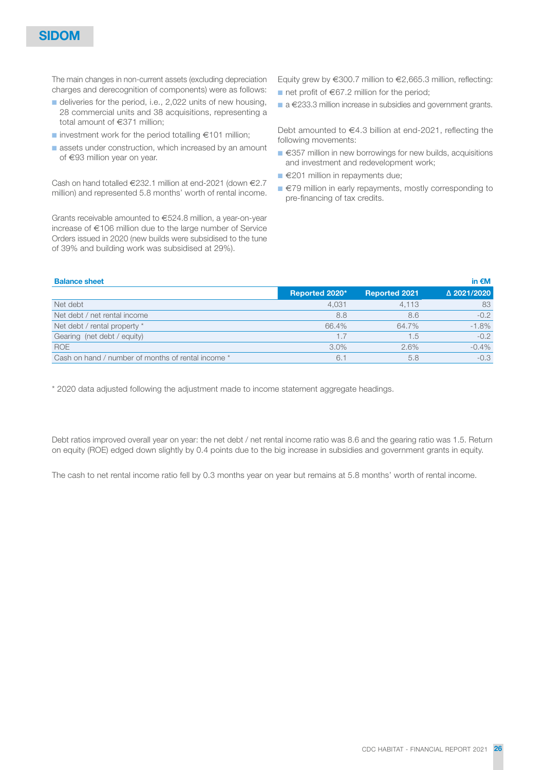The main changes in non-current assets (excluding depreciation charges and derecognition of components) were as follows:

- deliveries for the period, i.e., 2,022 units of new housing, 28 commercial units and 38 acquisitions, representing a total amount of €371 million;
- investment work for the period totalling  $€101$  million;
- assets under construction, which increased by an amount of €93 million year on year.

Cash on hand totalled €232.1 million at end-2021 (down €2.7 million) and represented 5.8 months' worth of rental income.

Grants receivable amounted to €524.8 million, a year-on-year increase of €106 million due to the large number of Service Orders issued in 2020 (new builds were subsidised to the tune of 39% and building work was subsidised at 29%).

Equity grew by €300.7 million to €2,665.3 million, reflecting:

- net profit of €67.2 million for the period;
- a €233.3 million increase in subsidies and government grants.

Debt amounted to €4.3 billion at end-2021, reflecting the following movements:

- €357 million in new borrowings for new builds, acquisitions and investment and redevelopment work;
- €201 million in repayments due;
- €79 million in early repayments, mostly corresponding to pre-financing of tax credits.

| <b>Balance sheet</b>                               |                |                      | in $\notin M$ |
|----------------------------------------------------|----------------|----------------------|---------------|
|                                                    | Reported 2020* | <b>Reported 2021</b> | △ 2021/2020   |
| Net debt                                           | 4,031          | 4.113                | 83            |
| Net debt / net rental income                       | 8.8            | 8.6                  | $-0.2$        |
| Net debt / rental property *                       | 66.4%          | 64.7%                | $-1.8%$       |
| Gearing (net debt / equity)                        | 1.7            | 1.5                  | $-0.2$        |
| <b>ROE</b>                                         | 3.0%           | 2.6%                 | $-0.4%$       |
| Cash on hand / number of months of rental income * | 6.1            | 5.8                  | $-0.3$        |

\* 2020 data adjusted following the adjustment made to income statement aggregate headings.

Debt ratios improved overall year on year: the net debt / net rental income ratio was 8.6 and the gearing ratio was 1.5. Return on equity (ROE) edged down slightly by 0.4 points due to the big increase in subsidies and government grants in equity.

The cash to net rental income ratio fell by 0.3 months year on year but remains at 5.8 months' worth of rental income.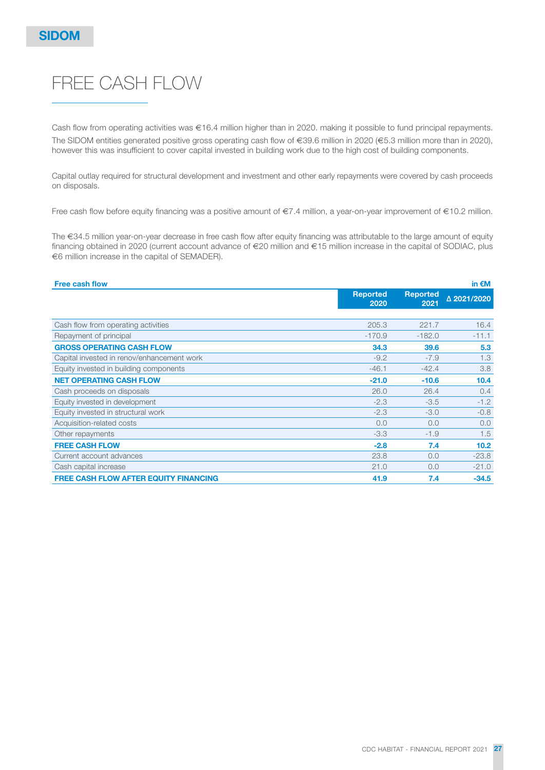# FREE CASH FLOW

Cash flow from operating activities was €16.4 million higher than in 2020. making it possible to fund principal repayments. The SIDOM entities generated positive gross operating cash flow of €39.6 million in 2020 (€5.3 million more than in 2020), however this was insufficient to cover capital invested in building work due to the high cost of building components.

Capital outlay required for structural development and investment and other early repayments were covered by cash proceeds on disposals.

Free cash flow before equity financing was a positive amount of €7.4 million, a year-on-year improvement of €10.2 million.

The €34.5 million year-on-year decrease in free cash flow after equity financing was attributable to the large amount of equity financing obtained in 2020 (current account advance of €20 million and €15 million increase in the capital of SODIAC, plus €6 million increase in the capital of SEMADER).

| <b>Free cash flow</b>                        |                         |                         | in $\epsilon$ M |
|----------------------------------------------|-------------------------|-------------------------|-----------------|
|                                              | <b>Reported</b><br>2020 | <b>Reported</b><br>2021 | △ 2021/2020     |
|                                              |                         |                         |                 |
| Cash flow from operating activities          | 205.3                   | 221.7                   | 16.4            |
| Repayment of principal                       | $-170.9$                | $-182.0$                | $-11.1$         |
| <b>GROSS OPERATING CASH FLOW</b>             | 34.3                    | 39.6                    | 5.3             |
| Capital invested in renov/enhancement work   | $-9.2$                  | $-7.9$                  | 1.3             |
| Equity invested in building components       | $-46.1$                 | $-42.4$                 | 3.8             |
| <b>NET OPERATING CASH FLOW</b>               | $-21.0$                 | $-10.6$                 | 10.4            |
| Cash proceeds on disposals                   | 26.0                    | 26.4                    | 0.4             |
| Equity invested in development               | $-2.3$                  | $-3.5$                  | $-1.2$          |
| Equity invested in structural work           | $-2.3$                  | $-3.0$                  | $-0.8$          |
| Acquisition-related costs                    | 0.0                     | 0.0                     | 0.0             |
| Other repayments                             | $-3.3$                  | $-1.9$                  | 1.5             |
| <b>FREE CASH FLOW</b>                        | $-2.8$                  | 7.4                     | 10.2            |
| Current account advances                     | 23.8                    | 0.0                     | $-23.8$         |
| Cash capital increase                        | 21.0                    | 0.0                     | $-21.0$         |
| <b>FREE CASH FLOW AFTER EQUITY FINANCING</b> | 41.9                    | 7.4                     | $-34.5$         |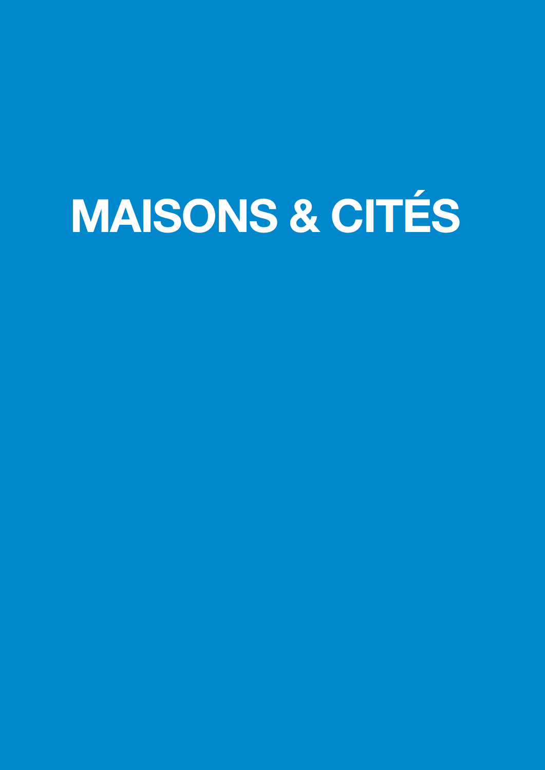# MAISONS & CITÉS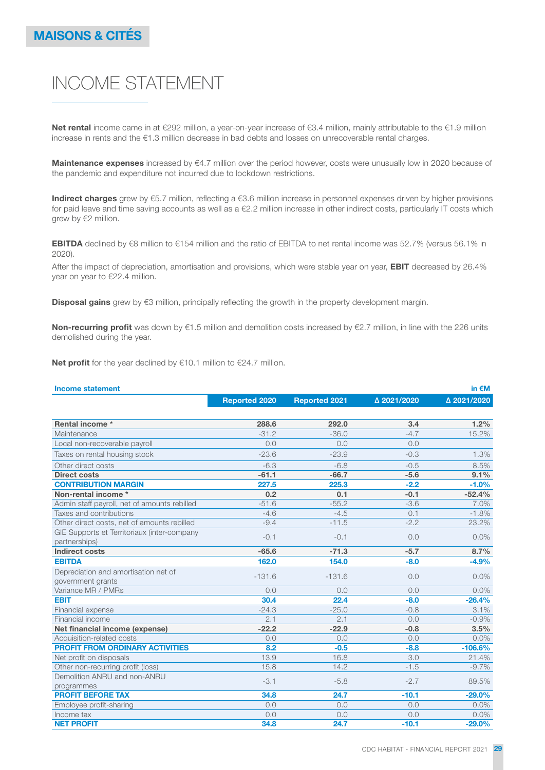# INCOME STATEMENT

Net rental income came in at €292 million, a year-on-year increase of €3.4 million, mainly attributable to the €1.9 million increase in rents and the €1.3 million decrease in bad debts and losses on unrecoverable rental charges.

Maintenance expenses increased by €4.7 million over the period however, costs were unusually low in 2020 because of the pandemic and expenditure not incurred due to lockdown restrictions.

Indirect charges grew by €5.7 million, reflecting a €3.6 million increase in personnel expenses driven by higher provisions for paid leave and time saving accounts as well as a €2.2 million increase in other indirect costs, particularly IT costs which grew by €2 million.

EBITDA declined by €8 million to €154 million and the ratio of EBITDA to net rental income was 52.7% (versus 56.1% in 2020).

After the impact of depreciation, amortisation and provisions, which were stable year on year, **EBIT** decreased by 26.4% year on year to €22.4 million.

Disposal gains grew by €3 million, principally reflecting the growth in the property development margin.

Non-recurring profit was down by €1.5 million and demolition costs increased by €2.7 million, in line with the 226 units demolished during the year.

Net profit for the year declined by €10.1 million to €24.7 million.

| <b>Income statement</b>                      |                      |                      |             | in $\notin M$ |
|----------------------------------------------|----------------------|----------------------|-------------|---------------|
|                                              | <b>Reported 2020</b> | <b>Reported 2021</b> | △ 2021/2020 | △ 2021/2020   |
|                                              |                      |                      |             |               |
| Rental income *                              | 288.6                | 292.0                | 3.4         | 1.2%          |
| Maintenance                                  | $-31.2$              | $-36.0$              | $-4.7$      | 15.2%         |
| Local non-recoverable payroll                | 0.0                  | 0.0                  | 0.0         |               |
| Taxes on rental housing stock                | $-23.6$              | $-23.9$              | $-0.3$      | 1.3%          |
| Other direct costs                           | $-6.3$               | $-6.8$               | $-0.5$      | 8.5%          |
| <b>Direct costs</b>                          | $-61.1$              | $-66.7$              | $-5.6$      | 9.1%          |
| <b>CONTRIBUTION MARGIN</b>                   | 227.5                | 225.3                | $-2.2$      | $-1.0%$       |
| Non-rental income *                          | 0.2                  | 0.1                  | $-0.1$      | $-52.4%$      |
| Admin staff payroll, net of amounts rebilled | $-51.6$              | $-55.2$              | $-3.6$      | 7.0%          |
| Taxes and contributions                      | $-4.6$               | $-4.5$               | 0.1         | $-1.8%$       |
| Other direct costs, net of amounts rebilled  | $-9.4$               | $-11.5$              | $-2.2$      | 23.2%         |
| GIE Supports et Territoriaux (inter-company  | $-0.1$               | $-0.1$               | 0.0         | 0.0%          |
| partnerships)                                |                      |                      |             |               |
| <b>Indirect costs</b>                        | $-65.6$              | $-71.3$              | $-5.7$      | 8.7%          |
| <b>EBITDA</b>                                | 162.0                | 154.0                | $-8.0$      | $-4.9%$       |
| Depreciation and amortisation net of         | $-131.6$             | $-131.6$             | 0.0         | 0.0%          |
| government grants                            |                      |                      |             |               |
| Variance MR / PMRs                           | 0.0                  | 0.0                  | 0.0         | 0.0%          |
| <b>EBIT</b>                                  | 30.4                 | 22.4                 | $-8.0$      | $-26.4%$      |
| Financial expense                            | $-24.3$              | $-25.0$              | $-0.8$      | 3.1%          |
| Financial income                             | 2.1                  | 2.1                  | 0.0         | $-0.9%$       |
| Net financial income (expense)               | $-22.2$              | $-22.9$              | $-0.8$      | 3.5%          |
| Acquisition-related costs                    | 0.0                  | 0.0                  | 0.0         | 0.0%          |
| <b>PROFIT FROM ORDINARY ACTIVITIES</b>       | 8.2                  | $-0.5$               | $-8.8$      | $-106.6%$     |
| Net profit on disposals                      | 13.9                 | 16.8                 | 3.0         | 21.4%         |
| Other non-recurring profit (loss)            | 15.8                 | 14.2                 | $-1.5$      | $-9.7\%$      |
| Demolition ANRU and non-ANRU                 | $-3.1$               | $-5.8$               | $-2.7$      | 89.5%         |
| programmes                                   |                      |                      |             |               |
| <b>PROFIT BEFORE TAX</b>                     | 34.8                 | 24.7                 | $-10.1$     | $-29.0%$      |
| Employee profit-sharing                      | 0.0                  | 0.0                  | 0.0         | 0.0%          |
| Income tax                                   | 0.0                  | 0.0                  | 0.0         | $0.0\%$       |
| <b>NET PROFIT</b>                            | 34.8                 | 24.7                 | $-10.1$     | $-29.0%$      |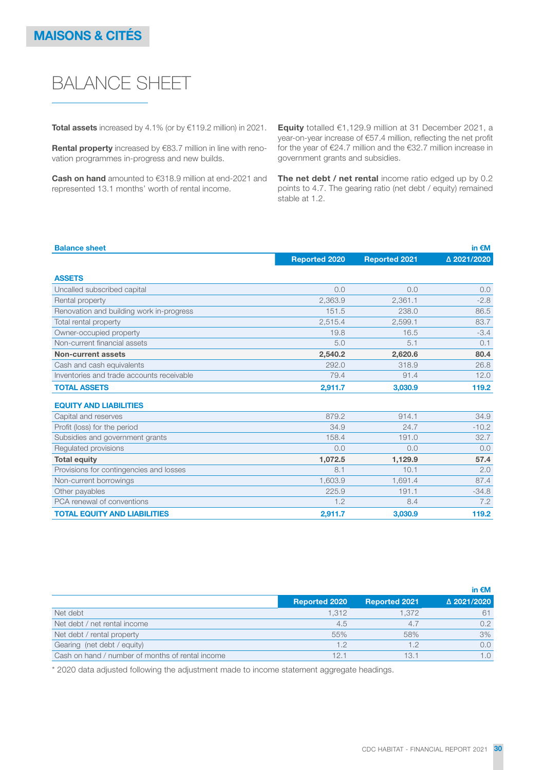# BALANCE SHEET

Total assets increased by 4.1% (or by €119.2 million) in 2021.

Rental property increased by €83.7 million in line with renovation programmes in-progress and new builds.

Cash on hand amounted to €318.9 million at end-2021 and represented 13.1 months' worth of rental income.

Equity totalled €1,129.9 million at 31 December 2021, a year-on-year increase of €57.4 million, reflecting the net profit for the year of €24.7 million and the €32.7 million increase in government grants and subsidies.

The net debt / net rental income ratio edged up by 0.2 points to 4.7. The gearing ratio (net debt / equity) remained stable at 1.2.

| <b>Balance sheet</b>                      |                      |                      | in $\epsilon$ M |
|-------------------------------------------|----------------------|----------------------|-----------------|
|                                           | <b>Reported 2020</b> | <b>Reported 2021</b> | △ 2021/2020     |
| <b>ASSETS</b>                             |                      |                      |                 |
| Uncalled subscribed capital               | 0.0                  | 0.0                  | 0.0             |
| Rental property                           | 2,363.9              | 2,361.1              | $-2.8$          |
| Renovation and building work in-progress  | 151.5                | 238.0                | 86.5            |
| Total rental property                     | 2.515.4              | 2.599.1              | 83.7            |
| Owner-occupied property                   | 19.8                 | 16.5                 | $-3.4$          |
| Non-current financial assets              | 5.0                  | 5.1                  | 0.1             |
| Non-current assets                        | 2.540.2              | 2,620.6              | 80.4            |
| Cash and cash equivalents                 | 292.0                | 318.9                | 26.8            |
| Inventories and trade accounts receivable | 79.4                 | 91.4                 | 12.0            |
| <b>TOTAL ASSETS</b>                       | 2,911.7              | 3,030.9              | 119.2           |
| <b>EQUITY AND LIABILITIES</b>             |                      |                      |                 |
| Capital and reserves                      | 879.2                | 914.1                | 34.9            |
| Profit (loss) for the period              | 34.9                 | 24.7                 | $-10.2$         |
| Subsidies and government grants           | 158.4                | 191.0                | 32.7            |
| Regulated provisions                      | 0.0                  | 0.0                  | 0.0             |
| <b>Total equity</b>                       | 1,072.5              | 1,129.9              | 57.4            |
| Provisions for contingencies and losses   | 8.1                  | 10.1                 | 2.0             |
| Non-current borrowings                    | 1,603.9              | 1,691.4              | 87.4            |
| Other payables                            | 225.9                | 191.1                | $-34.8$         |
| PCA renewal of conventions                | 1.2                  | 8.4                  | 7.2             |
| <b>TOTAL EQUITY AND LIABILITIES</b>       | 2,911.7              | 3,030.9              | 119.2           |

|                                                  |                      |                      | in $\epsilon$ M |
|--------------------------------------------------|----------------------|----------------------|-----------------|
|                                                  | <b>Reported 2020</b> | <b>Reported 2021</b> | △ 2021/2020     |
| Net debt                                         | 1.312                | 1.372                | 61              |
| Net debt / net rental income                     | 4.5                  | 4.7                  | 0.2             |
| Net debt / rental property                       | 55%                  | 58%                  | 3%              |
| Gearing (net debt / equity)                      | 1.2                  | 1.2                  | 0.0             |
| Cash on hand / number of months of rental income | 12.1                 | 13.1                 | 1.0             |

\* 2020 data adjusted following the adjustment made to income statement aggregate headings.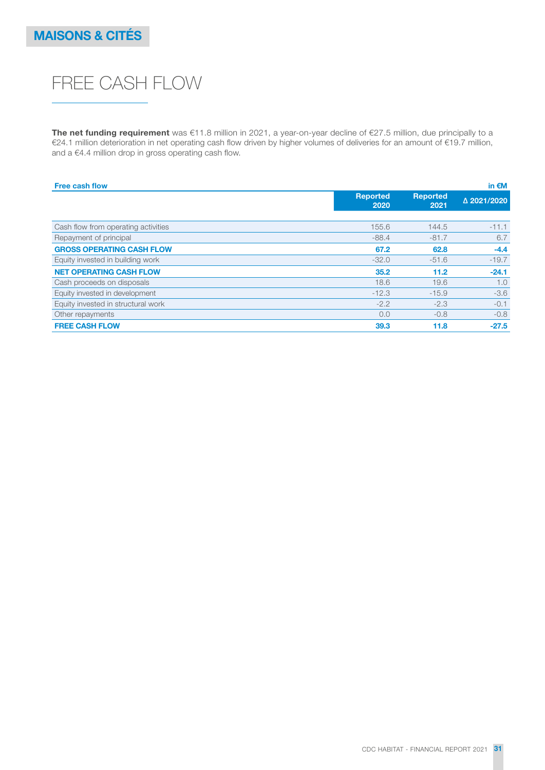# FREE CASH FLOW

The net funding requirement was €11.8 million in 2021, a year-on-year decline of €27.5 million, due principally to a €24.1 million deterioration in net operating cash flow driven by higher volumes of deliveries for an amount of €19.7 million, and a €4.4 million drop in gross operating cash flow.

| <b>Free cash flow</b>               |                         |                         | in $\epsilon$ M |
|-------------------------------------|-------------------------|-------------------------|-----------------|
|                                     | <b>Reported</b><br>2020 | <b>Reported</b><br>2021 | △ 2021/2020     |
|                                     |                         |                         |                 |
| Cash flow from operating activities | 155.6                   | 144.5                   | $-11.1$         |
| Repayment of principal              | $-88.4$                 | $-81.7$                 | 6.7             |
| <b>GROSS OPERATING CASH FLOW</b>    | 67.2                    | 62.8                    | $-4.4$          |
| Equity invested in building work    | $-32.0$                 | $-51.6$                 | $-19.7$         |
| <b>NET OPERATING CASH FLOW</b>      | 35.2                    | 11.2                    | $-24.1$         |
| Cash proceeds on disposals          | 18.6                    | 19.6                    | 1.0             |
| Equity invested in development      | $-12.3$                 | $-15.9$                 | $-3.6$          |
| Equity invested in structural work  | $-2.2$                  | $-2.3$                  | $-0.1$          |
| Other repayments                    | 0.0                     | $-0.8$                  | $-0.8$          |
| <b>FREE CASH FLOW</b>               | 39.3                    | 11.8                    | $-27.5$         |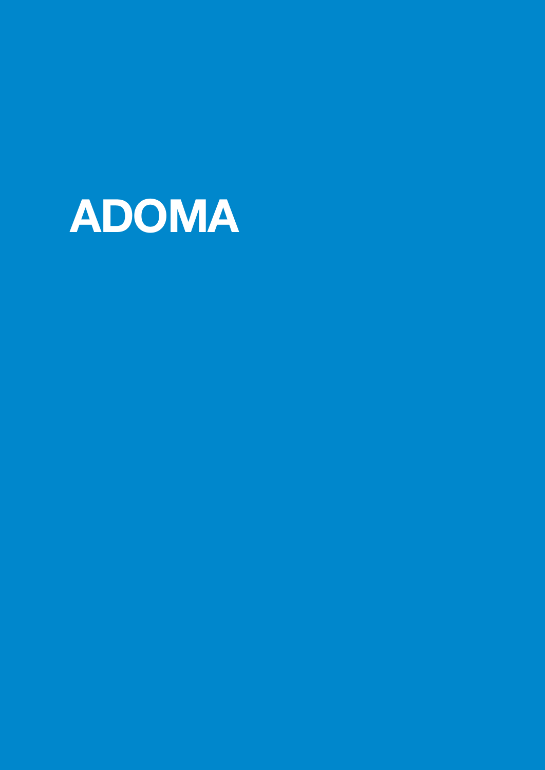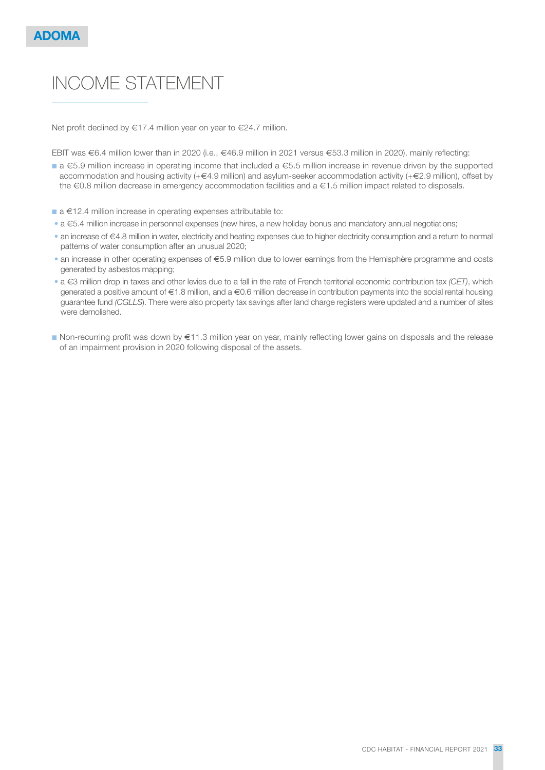# INCOME STATEMENT

Net profit declined by €17.4 million year on year to €24.7 million.

EBIT was €6.4 million lower than in 2020 (i.e., €46.9 million in 2021 versus €53.3 million in 2020), mainly reflecting:

- a €5.9 million increase in operating income that included a €5.5 million increase in revenue driven by the supported accommodation and housing activity (+€4.9 million) and asylum-seeker accommodation activity (+€2.9 million), offset by the €0.8 million decrease in emergency accommodation facilities and a €1.5 million impact related to disposals.
- a €12.4 million increase in operating expenses attributable to:
- a €5.4 million increase in personnel expenses (new hires, a new holiday bonus and mandatory annual negotiations;
- an increase of €4.8 million in water, electricity and heating expenses due to higher electricity consumption and a return to normal patterns of water consumption after an unusual 2020;
- an increase in other operating expenses of €5.9 million due to lower earnings from the Hemisphère programme and costs generated by asbestos mapping;
- a  $\in$ 3 million drop in taxes and other levies due to a fall in the rate of French territorial economic contribution tax (CET), which generated a positive amount of €1.8 million, and a €0.6 million decrease in contribution payments into the social rental housing guarantee fund (CGLLS). There were also property tax savings after land charge registers were updated and a number of sites were demolished.
- Non-recurring profit was down by €11.3 million year on year, mainly reflecting lower gains on disposals and the release of an impairment provision in 2020 following disposal of the assets.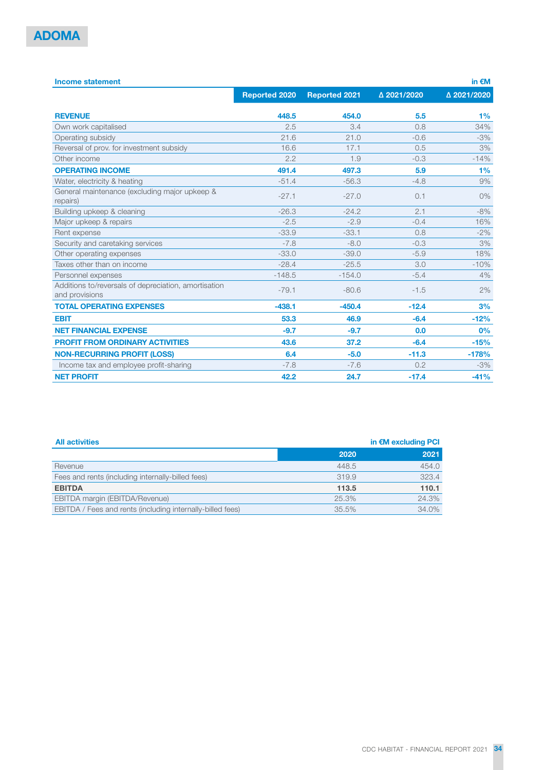| <b>Income statement</b>                                                |                      |                      |             | in $\epsilon$ M |
|------------------------------------------------------------------------|----------------------|----------------------|-------------|-----------------|
|                                                                        | <b>Reported 2020</b> | <b>Reported 2021</b> | △ 2021/2020 | △ 2021/2020     |
| <b>REVENUE</b>                                                         | 448.5                | 454.0                | 5.5         | 1%              |
| Own work capitalised                                                   | 2.5                  | 3.4                  | 0.8         | 34%             |
| Operating subsidy                                                      | 21.6                 | 21.0                 | $-0.6$      | $-3%$           |
| Reversal of prov. for investment subsidy                               | 16.6                 | 17.1                 | 0.5         | 3%              |
| Other income                                                           | 2.2                  | 1.9                  | $-0.3$      | $-14%$          |
| <b>OPERATING INCOME</b>                                                | 491.4                | 497.3                | 5.9         | 1%              |
| Water, electricity & heating                                           | $-51.4$              | $-56.3$              | $-4.8$      | 9%              |
| General maintenance (excluding major upkeep &<br>repairs)              | $-27.1$              | $-27.0$              | 0.1         | $0\%$           |
| Building upkeep & cleaning                                             | $-26.3$              | $-24.2$              | 2.1         | $-8%$           |
| Major upkeep & repairs                                                 | $-2.5$               | $-2.9$               | $-0.4$      | 16%             |
| Rent expense                                                           | $-33.9$              | $-33.1$              | 0.8         | $-2%$           |
| Security and caretaking services                                       | $-7.8$               | $-8.0$               | $-0.3$      | 3%              |
| Other operating expenses                                               | $-33.0$              | $-39.0$              | $-5.9$      | 18%             |
| Taxes other than on income                                             | $-28.4$              | $-25.5$              | 3.0         | $-10%$          |
| Personnel expenses                                                     | $-148.5$             | $-154.0$             | $-5.4$      | 4%              |
| Additions to/reversals of depreciation, amortisation<br>and provisions | $-79.1$              | $-80.6$              | $-1.5$      | 2%              |
| <b>TOTAL OPERATING EXPENSES</b>                                        | $-438.1$             | $-450.4$             | $-12.4$     | 3%              |
| <b>EBIT</b>                                                            | 53.3                 | 46.9                 | $-6.4$      | $-12%$          |
| <b>NET FINANCIAL EXPENSE</b>                                           | $-9.7$               | $-9.7$               | 0.0         | 0%              |
| <b>PROFIT FROM ORDINARY ACTIVITIES</b>                                 | 43.6                 | 37.2                 | $-6.4$      | $-15%$          |
| <b>NON-RECURRING PROFIT (LOSS)</b>                                     | 6.4                  | $-5.0$               | $-11.3$     | $-178%$         |
| Income tax and employee profit-sharing                                 | $-7.8$               | $-7.6$               | 0.2         | $-3%$           |
| <b>NET PROFIT</b>                                                      | 42.2                 | 24.7                 | $-17.4$     | $-41%$          |

| <b>All activities</b>                                      |       | in $\epsilon$ M excluding PCI |
|------------------------------------------------------------|-------|-------------------------------|
|                                                            | 2020  | 2021                          |
| Revenue                                                    | 448.5 | 454.0                         |
| Fees and rents (including internally-billed fees)          | 319.9 | 323.4                         |
| <b>EBITDA</b>                                              | 113.5 | 110.1                         |
| EBITDA margin (EBITDA/Revenue)                             | 25.3% | 24.3%                         |
| EBITDA / Fees and rents (including internally-billed fees) | 35.5% | 34.0%                         |
|                                                            |       |                               |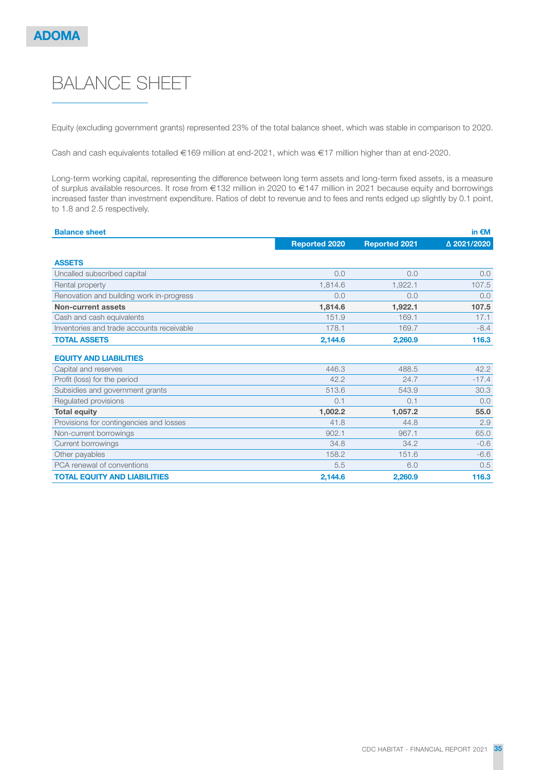# BALANCE SHEET

Equity (excluding government grants) represented 23% of the total balance sheet, which was stable in comparison to 2020.

Cash and cash equivalents totalled €169 million at end-2021, which was €17 million higher than at end-2020.

Long-term working capital, representing the difference between long term assets and long-term fixed assets, is a measure of surplus available resources. It rose from €132 million in 2020 to €147 million in 2021 because equity and borrowings increased faster than investment expenditure. Ratios of debt to revenue and to fees and rents edged up slightly by 0.1 point, to 1.8 and 2.5 respectively.

| <b>Balance sheet</b>                      |                      |                      | in $\n  EM\n$ |
|-------------------------------------------|----------------------|----------------------|---------------|
|                                           | <b>Reported 2020</b> | <b>Reported 2021</b> | △ 2021/2020   |
| <b>ASSETS</b>                             |                      |                      |               |
| Uncalled subscribed capital               | 0.0                  | 0.0                  | 0.0           |
| Rental property                           | 1,814.6              | 1,922.1              | 107.5         |
| Renovation and building work in-progress  | 0.0                  | 0.0                  | 0.0           |
| Non-current assets                        | 1,814.6              | 1,922.1              | 107.5         |
| Cash and cash equivalents                 | 151.9                | 169.1                | 17.1          |
| Inventories and trade accounts receivable | 178.1                | 169.7                | $-8.4$        |
| <b>TOTAL ASSETS</b>                       | 2,144.6              | 2,260.9              | 116.3         |
| <b>EQUITY AND LIABILITIES</b>             |                      |                      |               |
| Capital and reserves                      | 446.3                | 488.5                | 42.2          |
| Profit (loss) for the period              | 42.2                 | 24.7                 | $-17.4$       |
| Subsidies and government grants           | 513.6                | 543.9                | 30.3          |
| Regulated provisions                      | 0.1                  | 0.1                  | 0.0           |
| <b>Total equity</b>                       | 1,002.2              | 1,057.2              | 55.0          |
| Provisions for contingencies and losses   | 41.8                 | 44.8                 | 2.9           |
| Non-current borrowings                    | 902.1                | 967.1                | 65.0          |
| Current borrowings                        | 34.8                 | 34.2                 | $-0.6$        |
| Other payables                            | 158.2                | 151.6                | $-6.6$        |
| PCA renewal of conventions                | 5.5                  | 6.0                  | 0.5           |
| <b>TOTAL EQUITY AND LIABILITIES</b>       | 2,144.6              | 2,260.9              | 116.3         |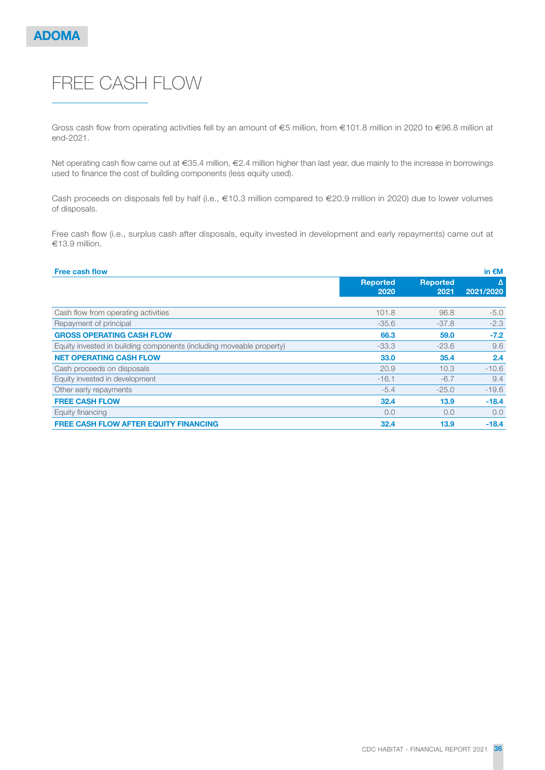# FREE CASH FLOW

Gross cash flow from operating activities fell by an amount of €5 million, from €101.8 million in 2020 to €96.8 million at end-2021.

Net operating cash flow came out at €35.4 million, €2.4 million higher than last year, due mainly to the increase in borrowings used to finance the cost of building components (less equity used).

Cash proceeds on disposals fell by half (i.e., €10.3 million compared to €20.9 million in 2020) due to lower volumes of disposals.

Free cash flow (i.e., surplus cash after disposals, equity invested in development and early repayments) came out at €13.9 million.

| <b>Free cash flow</b>                                                |                         |                         | in $\epsilon$ M |
|----------------------------------------------------------------------|-------------------------|-------------------------|-----------------|
|                                                                      | <b>Reported</b><br>2020 | <b>Reported</b><br>2021 | Δ<br>2021/2020  |
|                                                                      |                         |                         |                 |
| Cash flow from operating activities                                  | 101.8                   | 96.8                    | $-5.0$          |
| Repayment of principal                                               | $-35.6$                 | $-37.8$                 | $-2.3$          |
| <b>GROSS OPERATING CASH FLOW</b>                                     | 66.3                    | 59.0                    | $-7.2$          |
| Equity invested in building components (including moveable property) | $-33.3$                 | $-23.6$                 | 9.6             |
| <b>NET OPERATING CASH FLOW</b>                                       | 33.0                    | 35.4                    | 2.4             |
| Cash proceeds on disposals                                           | 20.9                    | 10.3                    | $-10.6$         |
| Equity invested in development                                       | $-16.1$                 | $-6.7$                  | 9.4             |
| Other early repayments                                               | $-5.4$                  | $-25.0$                 | $-19.6$         |
| <b>FREE CASH FLOW</b>                                                | 32.4                    | 13.9                    | $-18.4$         |
| Equity financing                                                     | 0.0                     | 0.0                     | 0.0             |
| <b>FREE CASH FLOW AFTER EQUITY FINANCING</b>                         | 32.4                    | 13.9                    | $-18.4$         |